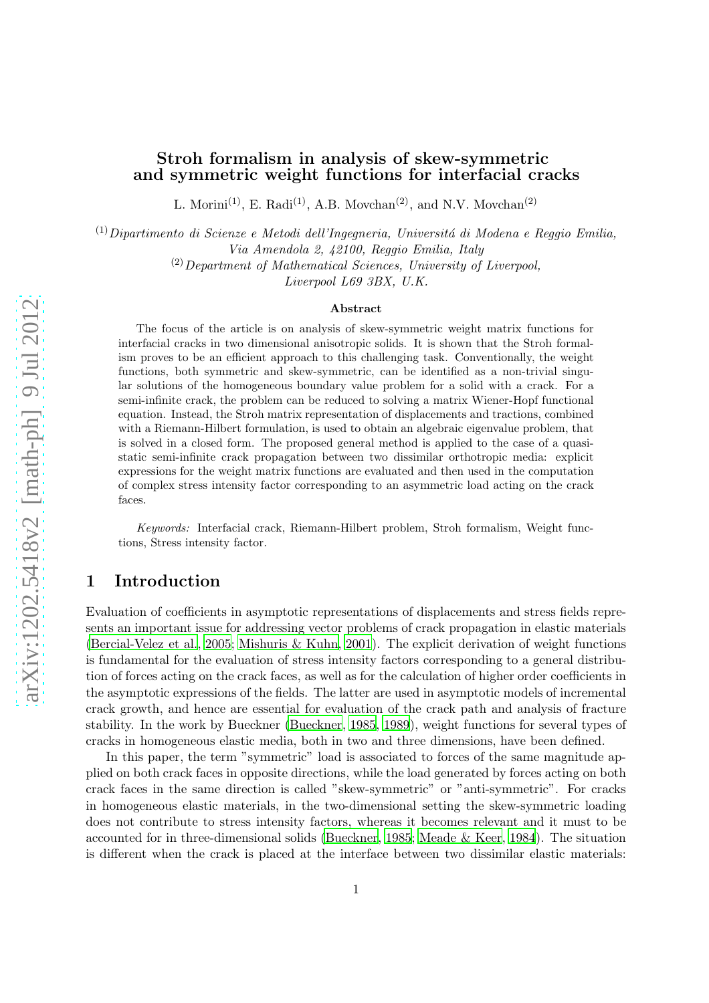## Stroh formalism in analysis of skew-symmetric and symmetric weight functions for interfacial cracks

L. Morini<sup>(1)</sup>, E. Radi<sup>(1)</sup>, A.B. Movchan<sup>(2)</sup>, and N.V. Movchan<sup>(2)</sup>

<sup>(1)</sup> Dipartimento di Scienze e Metodi dell'Ingegneria, Università di Modena e Reggio Emilia,

*Via Amendola 2, 42100, Reggio Emilia, Italy*

(2)*Department of Mathematical Sciences, University of Liverpool,*

*Liverpool L69 3BX, U.K.*

#### Abstract

The focus of the article is on analysis of skew-symmetric weight matrix functions for interfacial cracks in two dimensional anisotropic solids. It is shown that the Stroh formalism proves to be an efficient approach to this challenging task. Conventionally, the weight functions, both symmetric and skew-symmetric, can be identified as a non-trivial singular solutions of the homogeneous boundary value problem for a solid with a crack. For a semi-infinite crack, the problem can be reduced to solving a matrix Wiener-Hopf functional equation. Instead, the Stroh matrix representation of displacements and tractions, combined with a Riemann-Hilbert formulation, is used to obtain an algebraic eigenvalue problem, that is solved in a closed form. The proposed general method is applied to the case of a quasistatic semi-infinite crack propagation between two dissimilar orthotropic media: explicit expressions for the weight matrix functions are evaluated and then used in the computation of complex stress intensity factor corresponding to an asymmetric load acting on the crack faces.

*Keywords:* Interfacial crack, Riemann-Hilbert problem, Stroh formalism, Weight functions, Stress intensity factor.

# 1 Introduction

Evaluation of coefficients in asymptotic representations of displacements and stress fields represents an important issue for addressing vector problems of crack propagation in elastic materials [\(Bercial-Velez et al., 2005](#page-24-0); [Mishuris & Kuhn, 2001](#page-24-1)). The explicit derivation of weight functions is fundamental for the evaluation of stress intensity factors corresponding to a general distribution of forces acting on the crack faces, as well as for the calculation of higher order coefficients in the asymptotic expressions of the fields. The latter are used in asymptotic models of incremental crack growth, and hence are essential for evaluation of the crack path and analysis of fracture stability. In the work by Bueckner [\(Bueckner](#page-24-2), [1985](#page-24-2), [1989\)](#page-24-3), weight functions for several types of cracks in homogeneous elastic media, both in two and three dimensions, have been defined.

In this paper, the term "symmetric" load is associated to forces of the same magnitude applied on both crack faces in opposite directions, while the load generated by forces acting on both crack faces in the same direction is called "skew-symmetric" or "anti-symmetric". For cracks in homogeneous elastic materials, in the two-dimensional setting the skew-symmetric loading does not contribute to stress intensity factors, whereas it becomes relevant and it must to be accounted for in three-dimensional solids [\(Bueckner](#page-24-2), [1985](#page-24-2); [Meade & Keer](#page-24-4), [1984](#page-24-4)). The situation is different when the crack is placed at the interface between two dissimilar elastic materials: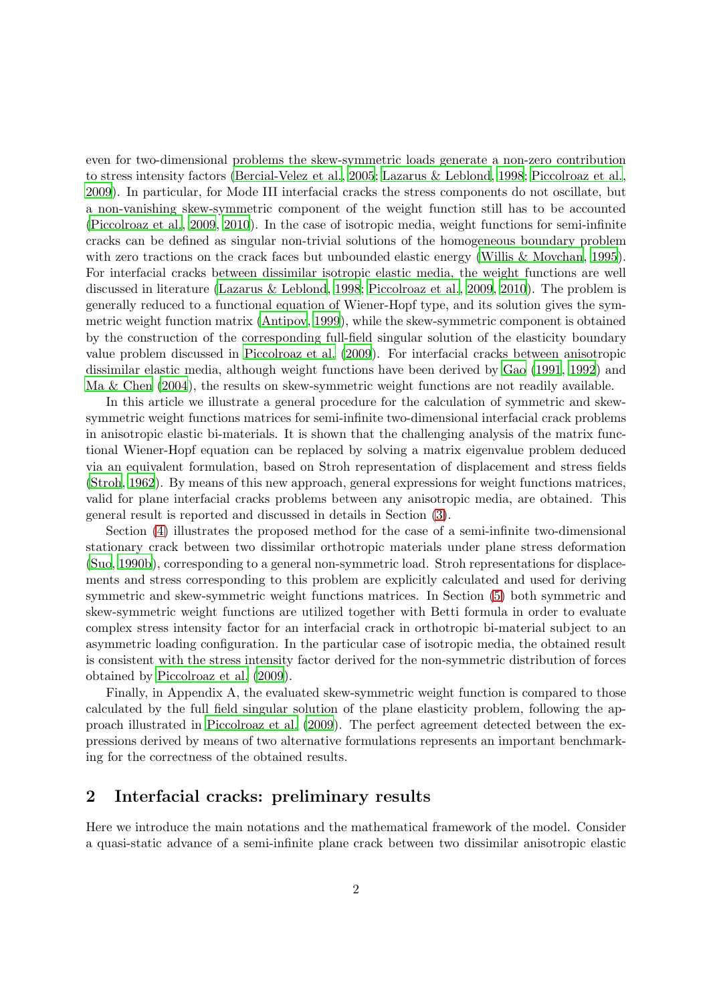even for two-dimensional problems the skew-symmetric loads generate a non-zero contribution to stress intensity factors [\(Bercial-Velez et al., 2005](#page-24-0); [Lazarus & Leblond](#page-24-5), [1998;](#page-24-5) [Piccolroaz et al.](#page-25-0), [2009\)](#page-25-0). In particular, for Mode III interfacial cracks the stress components do not oscillate, but a non-vanishing skew-symmetric component of the weight function still has to be accounted [\(Piccolroaz et al., 2009](#page-25-0), [2010\)](#page-25-1). In the case of isotropic media, weight functions for semi-infinite cracks can be defined as singular non-trivial solutions of the homogeneous boundary problem with zero tractions on the crack faces but unbounded elastic energy [\(Willis & Movchan](#page-25-2), [1995](#page-25-2)). For interfacial cracks between dissimilar isotropic elastic media, the weight functions are well discussed in literature [\(Lazarus & Leblond, 1998;](#page-24-5) [Piccolroaz et al., 2009,](#page-25-0) [2010\)](#page-25-1). The problem is generally reduced to a functional equation of Wiener-Hopf type, and its solution gives the symmetric weight function matrix [\(Antipov, 1999](#page-24-6)), while the skew-symmetric component is obtained by the construction of the corresponding full-field singular solution of the elasticity boundary value problem discussed in [Piccolroaz et al. \(2009\)](#page-25-0). For interfacial cracks between anisotropic dissimilar elastic media, although weight functions have been derived by [Gao \(1991](#page-24-7), [1992](#page-24-8)) and [Ma & Chen \(2004](#page-24-9)), the results on skew-symmetric weight functions are not readily available.

In this article we illustrate a general procedure for the calculation of symmetric and skewsymmetric weight functions matrices for semi-infinite two-dimensional interfacial crack problems in anisotropic elastic bi-materials. It is shown that the challenging analysis of the matrix functional Wiener-Hopf equation can be replaced by solving a matrix eigenvalue problem deduced via an equivalent formulation, based on Stroh representation of displacement and stress fields [\(Stroh](#page-25-3), [1962\)](#page-25-3). By means of this new approach, general expressions for weight functions matrices, valid for plane interfacial cracks problems between any anisotropic media, are obtained. This general result is reported and discussed in details in Section [\(3\)](#page-7-0).

Section [\(4\)](#page-9-0) illustrates the proposed method for the case of a semi-infinite two-dimensional stationary crack between two dissimilar orthotropic materials under plane stress deformation [\(Suo, 1990b](#page-25-4)), corresponding to a general non-symmetric load. Stroh representations for displacements and stress corresponding to this problem are explicitly calculated and used for deriving symmetric and skew-symmetric weight functions matrices. In Section [\(5\)](#page-15-0) both symmetric and skew-symmetric weight functions are utilized together with Betti formula in order to evaluate complex stress intensity factor for an interfacial crack in orthotropic bi-material subject to an asymmetric loading configuration. In the particular case of isotropic media, the obtained result is consistent with the stress intensity factor derived for the non-symmetric distribution of forces obtained by [Piccolroaz et al. \(2009](#page-25-0)).

Finally, in Appendix A, the evaluated skew-symmetric weight function is compared to those calculated by the full field singular solution of the plane elasticity problem, following the approach illustrated in [Piccolroaz et al. \(2009](#page-25-0)). The perfect agreement detected between the expressions derived by means of two alternative formulations represents an important benchmarking for the correctness of the obtained results.

## 2 Interfacial cracks: preliminary results

Here we introduce the main notations and the mathematical framework of the model. Consider a quasi-static advance of a semi-infinite plane crack between two dissimilar anisotropic elastic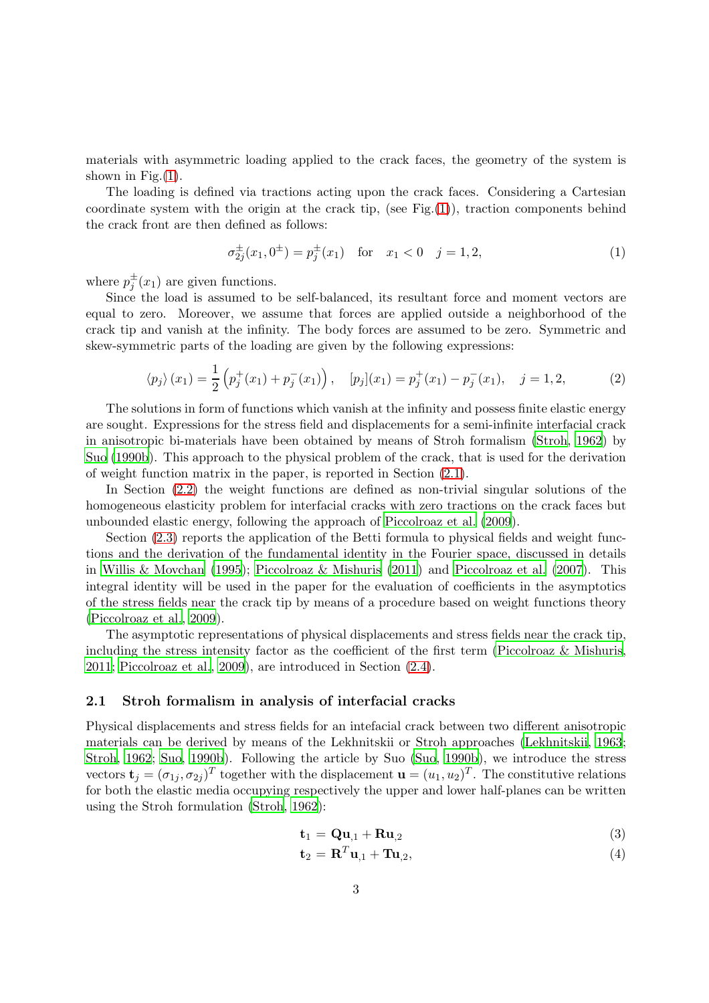materials with asymmetric loading applied to the crack faces, the geometry of the system is shown in Fig. $(1)$ .

The loading is defined via tractions acting upon the crack faces. Considering a Cartesian coordinate system with the origin at the crack tip, (see Fig. $(1)$ ), traction components behind the crack front are then defined as follows:

$$
\sigma_{2j}^{\pm}(x_1, 0^{\pm}) = p_j^{\pm}(x_1) \quad \text{for} \quad x_1 < 0 \quad j = 1, 2,\tag{1}
$$

where  $p_j^{\pm}(x_1)$  are given functions.

Since the load is assumed to be self-balanced, its resultant force and moment vectors are equal to zero. Moreover, we assume that forces are applied outside a neighborhood of the crack tip and vanish at the infinity. The body forces are assumed to be zero. Symmetric and skew-symmetric parts of the loading are given by the following expressions:

$$
\langle p_j \rangle (x_1) = \frac{1}{2} \left( p_j^+(x_1) + p_j^-(x_1) \right), \quad [p_j](x_1) = p_j^+(x_1) - p_j^-(x_1), \quad j = 1, 2, \tag{2}
$$

The solutions in form of functions which vanish at the infinity and possess finite elastic energy are sought. Expressions for the stress field and displacements for a semi-infinite interfacial crack in anisotropic bi-materials have been obtained by means of Stroh formalism [\(Stroh](#page-25-3), [1962](#page-25-3)) by [Suo \(1990b\)](#page-25-4). This approach to the physical problem of the crack, that is used for the derivation of weight function matrix in the paper, is reported in Section [\(2.1\)](#page-2-0).

In Section [\(2.2\)](#page-4-0) the weight functions are defined as non-trivial singular solutions of the homogeneous elasticity problem for interfacial cracks with zero tractions on the crack faces but unbounded elastic energy, following the approach of [Piccolroaz et al. \(2009](#page-25-0)).

Section [\(2.3\)](#page-5-0) reports the application of the Betti formula to physical fields and weight functions and the derivation of the fundamental identity in the Fourier space, discussed in details in [Willis & Movchan \(1995](#page-25-2)); [Piccolroaz & Mishuris \(2011](#page-25-5)) and [Piccolroaz et al. \(2007\)](#page-25-6). This integral identity will be used in the paper for the evaluation of coefficients in the asymptotics of the stress fields near the crack tip by means of a procedure based on weight functions theory [\(Piccolroaz et al., 2009](#page-25-0)).

The asymptotic representations of physical displacements and stress fields near the crack tip, including the stress intensity factor as the coefficient of the first term [\(Piccolroaz & Mishuris,](#page-25-5) [2011;](#page-25-5) [Piccolroaz et al., 2009](#page-25-0)), are introduced in Section [\(2.4\)](#page-6-0).

### <span id="page-2-0"></span>2.1 Stroh formalism in analysis of interfacial cracks

Physical displacements and stress fields for an intefacial crack between two different anisotropic materials can be derived by means of the Lekhnitskii or Stroh approaches [\(Lekhnitskii](#page-24-10), [1963](#page-24-10); [Stroh](#page-25-3), [1962](#page-25-3); [Suo, 1990b\)](#page-25-4). Following the article by Suo [\(Suo,](#page-25-4) [1990b](#page-25-4)), we introduce the stress vectors  $\mathbf{t}_j = (\sigma_{1j}, \sigma_{2j})^T$  together with the displacement  $\mathbf{u} = (u_1, u_2)^T$ . The constitutive relations for both the elastic media occupying respectively the upper and lower half-planes can be written using the Stroh formulation [\(Stroh](#page-25-3), [1962\)](#page-25-3):

$$
\mathbf{t}_1 = \mathbf{Q}\mathbf{u}_{,1} + \mathbf{R}\mathbf{u}_{,2} \tag{3}
$$

$$
\mathbf{t}_2 = \mathbf{R}^T \mathbf{u}_{,1} + \mathbf{T} \mathbf{u}_{,2},\tag{4}
$$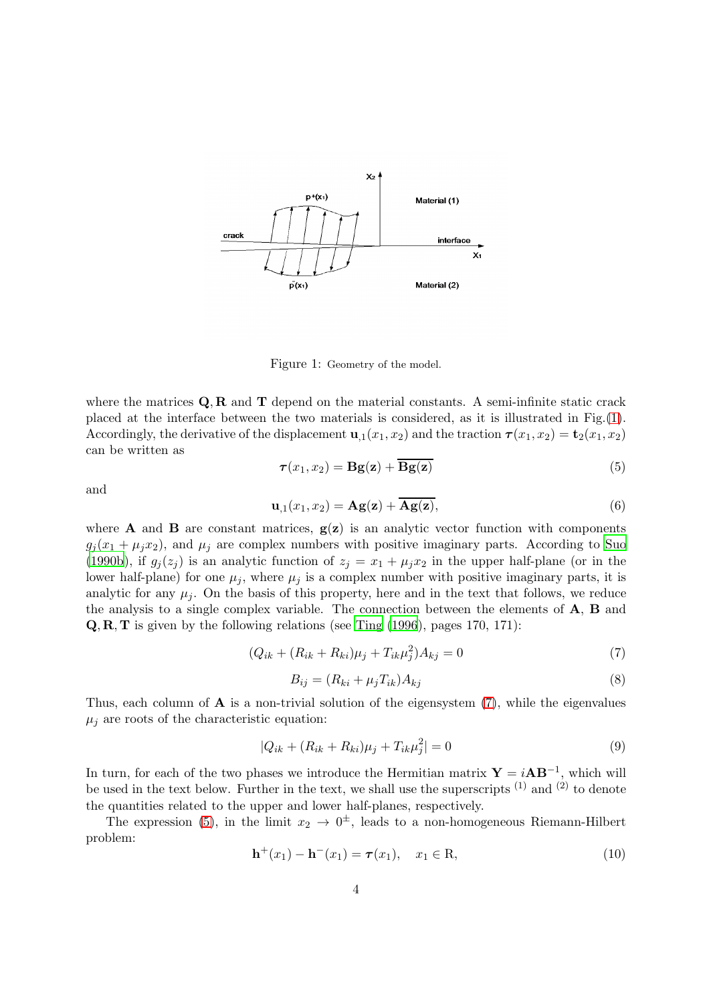

<span id="page-3-0"></span>Figure 1: Geometry of the model.

where the matrices  $\mathbf{Q}, \mathbf{R}$  and  $\mathbf{T}$  depend on the material constants. A semi-infinite static crack placed at the interface between the two materials is considered, as it is illustrated in Fig.[\(1\)](#page-3-0). Accordingly, the derivative of the displacement  $\mathbf{u}_{,1}(x_1, x_2)$  and the traction  $\boldsymbol{\tau}(x_1, x_2) = \mathbf{t}_2(x_1, x_2)$ can be written as

<span id="page-3-2"></span>
$$
\tau(x_1, x_2) = \mathbf{Bg}(\mathbf{z}) + \overline{\mathbf{Bg}(\mathbf{z})}
$$
\n(5)

and

<span id="page-3-4"></span>
$$
\mathbf{u}_{,1}(x_1,x_2) = \mathbf{A}\mathbf{g}(\mathbf{z}) + \overline{\mathbf{A}\mathbf{g}(\mathbf{z})},\tag{6}
$$

where **A** and **B** are constant matrices,  $g(z)$  is an analytic vector function with components  $g_i(x_1 + \mu_i x_2)$ , and  $\mu_i$  are complex numbers with positive imaginary parts. According to [Suo](#page-25-4) [\(1990b](#page-25-4)), if  $g_j(z_j)$  is an analytic function of  $z_j = x_1 + \mu_j x_2$  in the upper half-plane (or in the lower half-plane) for one  $\mu_j$ , where  $\mu_j$  is a complex number with positive imaginary parts, it is analytic for any  $\mu_i$ . On the basis of this property, here and in the text that follows, we reduce the analysis to a single complex variable. The connection between the elements of A, B and Q, R, T is given by the following relations (see [Ting \(1996](#page-25-7)), pages 170, 171):

<span id="page-3-1"></span>
$$
(Q_{ik} + (R_{ik} + R_{ki})\mu_j + T_{ik}\mu_j^2)A_{kj} = 0
$$
\n(7)

<span id="page-3-5"></span>
$$
B_{ij} = (R_{ki} + \mu_j T_{ik})A_{kj} \tag{8}
$$

Thus, each column of  $\bf{A}$  is a non-trivial solution of the eigensystem  $(7)$ , while the eigenvalues  $\mu_j$  are roots of the characteristic equation:

$$
|Q_{ik} + (R_{ik} + R_{ki})\mu_j + T_{ik}\mu_j^2| = 0
$$
\n(9)

In turn, for each of the two phases we introduce the Hermitian matrix  $\mathbf{Y} = i\mathbf{A}\mathbf{B}^{-1}$ , which will be used in the text below. Further in the text, we shall use the superscripts  $(1)$  and  $(2)$  to denote the quantities related to the upper and lower half-planes, respectively.

The expression [\(5\)](#page-3-2), in the limit  $x_2 \to 0^{\pm}$ , leads to a non-homogeneous Riemann-Hilbert problem:

<span id="page-3-3"></span>
$$
\mathbf{h}^{+}(x_{1}) - \mathbf{h}^{-}(x_{1}) = \boldsymbol{\tau}(x_{1}), \quad x_{1} \in \mathbf{R}, \tag{10}
$$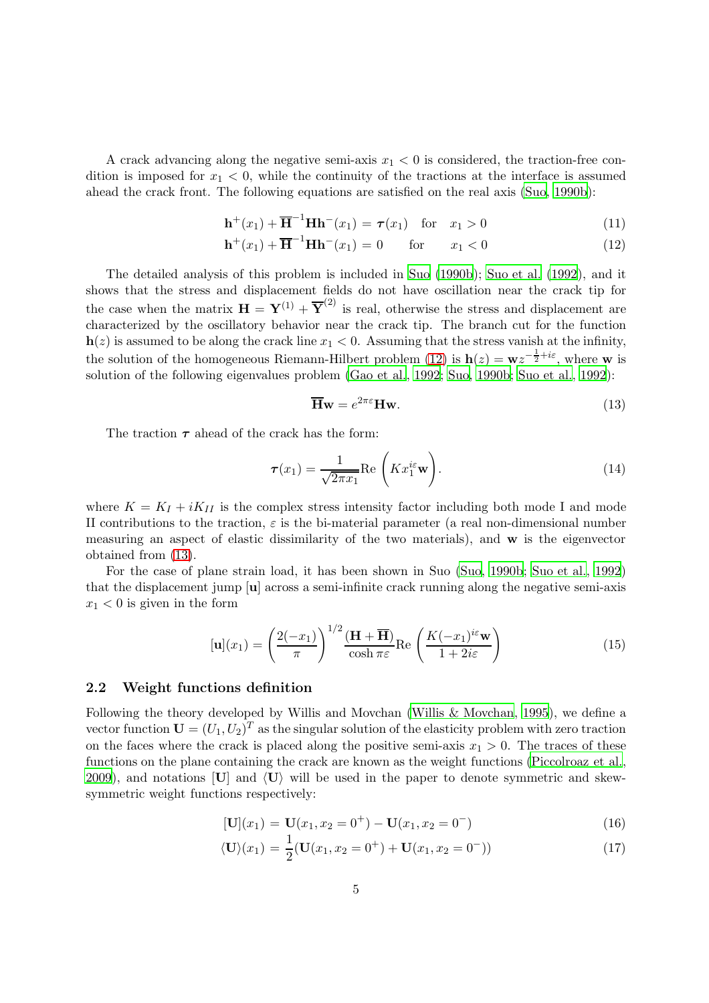A crack advancing along the negative semi-axis  $x_1 < 0$  is considered, the traction-free condition is imposed for  $x_1 < 0$ , while the continuity of the tractions at the interface is assumed ahead the crack front. The following equations are satisfied on the real axis [\(Suo](#page-25-4), [1990b\)](#page-25-4):

<span id="page-4-1"></span>
$$
\mathbf{h}^+(x_1) + \overline{\mathbf{H}}^{-1} \mathbf{H} \mathbf{h}^-(x_1) = \boldsymbol{\tau}(x_1) \quad \text{for} \quad x_1 > 0 \tag{11}
$$

$$
\mathbf{h}^+(x_1) + \overline{\mathbf{H}}^{-1} \mathbf{H} \mathbf{h}^-(x_1) = 0 \qquad \text{for} \qquad x_1 < 0 \tag{12}
$$

The detailed analysis of this problem is included in [Suo \(1990b](#page-25-4)); [Suo et al. \(1992](#page-25-8)), and it shows that the stress and displacement fields do not have oscillation near the crack tip for the case when the matrix  $\mathbf{H} = \mathbf{Y}^{(1)} + \overline{\mathbf{Y}}^{(2)}$  is real, otherwise the stress and displacement are characterized by the oscillatory behavior near the crack tip. The branch cut for the function  $h(z)$  is assumed to be along the crack line  $x_1 < 0$ . Assuming that the stress vanish at the infinity, the solution of the homogeneous Riemann-Hilbert problem [\(12\)](#page-4-1) is  $h(z) = wz^{-\frac{1}{2} + i\varepsilon}$ , where w is solution of the following eigenvalues problem [\(Gao et al.](#page-24-11), [1992](#page-24-11); [Suo, 1990b](#page-25-4); [Suo et al.](#page-25-8), [1992\)](#page-25-8):

<span id="page-4-2"></span>
$$
\overline{\mathbf{H}}\mathbf{w} = e^{2\pi\varepsilon} \mathbf{H}\mathbf{w}.\tag{13}
$$

The traction  $\tau$  ahead of the crack has the form:

<span id="page-4-3"></span>
$$
\boldsymbol{\tau}(x_1) = \frac{1}{\sqrt{2\pi x_1}} \text{Re}\left(K x_1^{i\epsilon} \mathbf{w}\right). \tag{14}
$$

where  $K = K_I + iK_{II}$  is the complex stress intensity factor including both mode I and mode II contributions to the traction,  $\varepsilon$  is the bi-material parameter (a real non-dimensional number measuring an aspect of elastic dissimilarity of the two materials), and w is the eigenvector obtained from [\(13\)](#page-4-2).

For the case of plane strain load, it has been shown in Suo [\(Suo](#page-25-4), [1990b](#page-25-4); [Suo et al.](#page-25-8), [1992](#page-25-8)) that the displacement jump [u] across a semi-infinite crack running along the negative semi-axis  $x_1 < 0$  is given in the form

<span id="page-4-5"></span>
$$
[\mathbf{u}](x_1) = \left(\frac{2(-x_1)}{\pi}\right)^{1/2} \frac{(\mathbf{H} + \overline{\mathbf{H}})}{\cosh \pi \varepsilon} \text{Re}\left(\frac{K(-x_1)^{i\varepsilon} \mathbf{w}}{1 + 2i\varepsilon}\right)
$$
(15)

### <span id="page-4-0"></span>2.2 Weight functions definition

Following the theory developed by Willis and Movchan [\(Willis & Movchan](#page-25-2), [1995](#page-25-2)), we define a vector function  $\mathbf{U} = (U_1, U_2)^T$  as the singular solution of the elasticity problem with zero traction on the faces where the crack is placed along the positive semi-axis  $x_1 > 0$ . The traces of these functions on the plane containing the crack are known as the weight functions [\(Piccolroaz et al.](#page-25-0), [2009\)](#page-25-0), and notations  $[U]$  and  $\langle U \rangle$  will be used in the paper to denote symmetric and skewsymmetric weight functions respectively:

<span id="page-4-4"></span>
$$
[\mathbf{U}](x_1) = \mathbf{U}(x_1, x_2 = 0^+) - \mathbf{U}(x_1, x_2 = 0^-)
$$
\n(16)

$$
\langle \mathbf{U} \rangle (x_1) = \frac{1}{2} (\mathbf{U}(x_1, x_2 = 0^+) + \mathbf{U}(x_1, x_2 = 0^-))
$$
\n(17)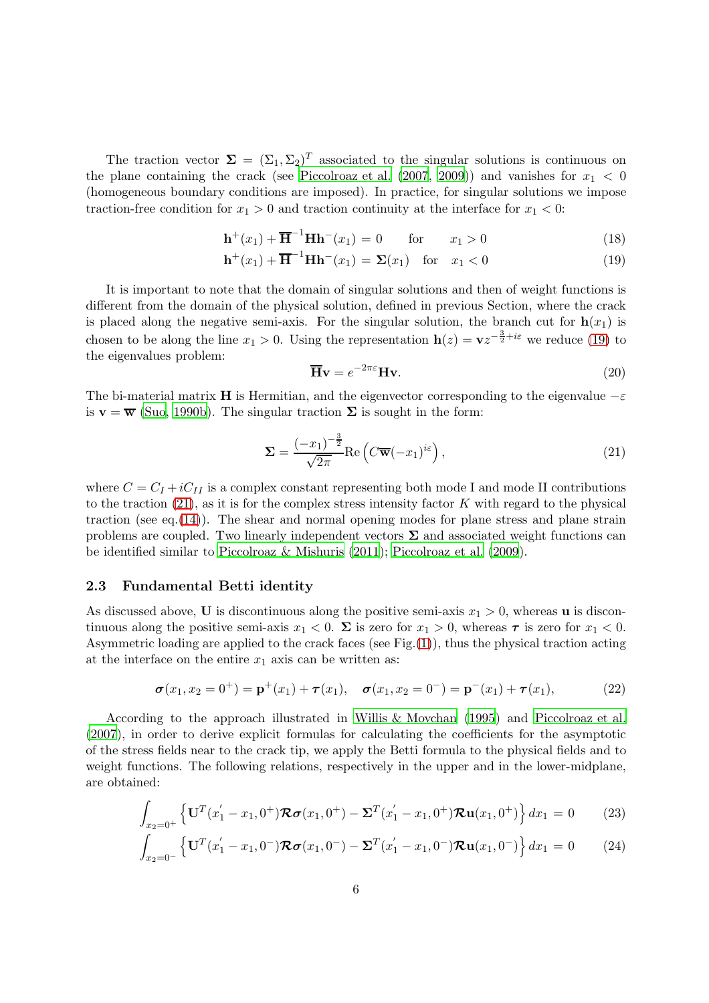The traction vector  $\Sigma = (\Sigma_1, \Sigma_2)^T$  associated to the singular solutions is continuous on the plane containing the crack (see [Piccolroaz et al. \(2007](#page-25-6), [2009\)](#page-25-0)) and vanishes for  $x_1 < 0$ (homogeneous boundary conditions are imposed). In practice, for singular solutions we impose traction-free condition for  $x_1 > 0$  and traction continuity at the interface for  $x_1 < 0$ :

<span id="page-5-1"></span>
$$
\mathbf{h}^+(x_1) + \overline{\mathbf{H}}^{-1} \mathbf{H} \mathbf{h}^-(x_1) = 0 \quad \text{for} \quad x_1 > 0 \tag{18}
$$

$$
\mathbf{h}^+(x_1) + \overline{\mathbf{H}}^{-1} \mathbf{H} \mathbf{h}^-(x_1) = \Sigma(x_1) \quad \text{for} \quad x_1 < 0 \tag{19}
$$

It is important to note that the domain of singular solutions and then of weight functions is different from the domain of the physical solution, defined in previous Section, where the crack is placed along the negative semi-axis. For the singular solution, the branch cut for  $h(x_1)$  is chosen to be along the line  $x_1 > 0$ . Using the representation  $h(z) = v z^{-\frac{3}{2} + i\varepsilon}$  we reduce [\(19\)](#page-5-1) to the eigenvalues problem:

$$
\overline{\mathbf{H}}\mathbf{v} = e^{-2\pi\varepsilon} \mathbf{H}\mathbf{v}.\tag{20}
$$

The bi-material matrix **H** is Hermitian, and the eigenvector corresponding to the eigenvalue  $-\varepsilon$ is  $\mathbf{v} = \overline{\mathbf{w}}$  [\(Suo, 1990b](#page-25-4)). The singular traction  $\Sigma$  is sought in the form:

<span id="page-5-2"></span>
$$
\Sigma = \frac{(-x_1)^{-\frac{3}{2}}}{\sqrt{2\pi}} \text{Re}\left(C\overline{\mathbf{w}}(-x_1)^{i\varepsilon}\right),\tag{21}
$$

where  $C = C_I + iC_{II}$  is a complex constant representing both mode I and mode II contributions to the traction  $(21)$ , as it is for the complex stress intensity factor K with regard to the physical traction (see eq.[\(14\)](#page-4-3)). The shear and normal opening modes for plane stress and plane strain problems are coupled. Two linearly independent vectors  $\Sigma$  and associated weight functions can be identified similar to [Piccolroaz & Mishuris \(2011](#page-25-5)); [Piccolroaz et al. \(2009](#page-25-0)).

## <span id="page-5-0"></span>2.3 Fundamental Betti identity

As discussed above, U is discontinuous along the positive semi-axis  $x_1 > 0$ , whereas u is discontinuous along the positive semi-axis  $x_1 < 0$ .  $\Sigma$  is zero for  $x_1 > 0$ , whereas  $\tau$  is zero for  $x_1 < 0$ . Asymmetric loading are applied to the crack faces (see Fig. $(1)$ ), thus the physical traction acting at the interface on the entire  $x_1$  axis can be written as:

<span id="page-5-4"></span>
$$
\boldsymbol{\sigma}(x_1, x_2 = 0^+) = \mathbf{p}^+(x_1) + \boldsymbol{\tau}(x_1), \quad \boldsymbol{\sigma}(x_1, x_2 = 0^-) = \mathbf{p}^-(x_1) + \boldsymbol{\tau}(x_1), \tag{22}
$$

According to the approach illustrated in [Willis & Movchan \(1995](#page-25-2)) and [Piccolroaz et al.](#page-25-6) [\(2007](#page-25-6)), in order to derive explicit formulas for calculating the coefficients for the asymptotic of the stress fields near to the crack tip, we apply the Betti formula to the physical fields and to weight functions. The following relations, respectively in the upper and in the lower-midplane, are obtained:

<span id="page-5-3"></span>
$$
\int_{x_2=0^+} \left\{ \mathbf{U}^T (x_1' - x_1, 0^+) \mathbf{R} \sigma (x_1, 0^+) - \mathbf{\Sigma}^T (x_1' - x_1, 0^+) \mathbf{R} \mathbf{u} (x_1, 0^+) \right\} dx_1 = 0 \tag{23}
$$

$$
\int_{x_2=0^-} \left\{ \mathbf{U}^T (x_1' - x_1, 0^-) \mathcal{R} \sigma (x_1, 0^-) - \mathbf{\Sigma}^T (x_1' - x_1, 0^-) \mathcal{R} \mathbf{u} (x_1, 0^-) \right\} dx_1 = 0 \quad (24)
$$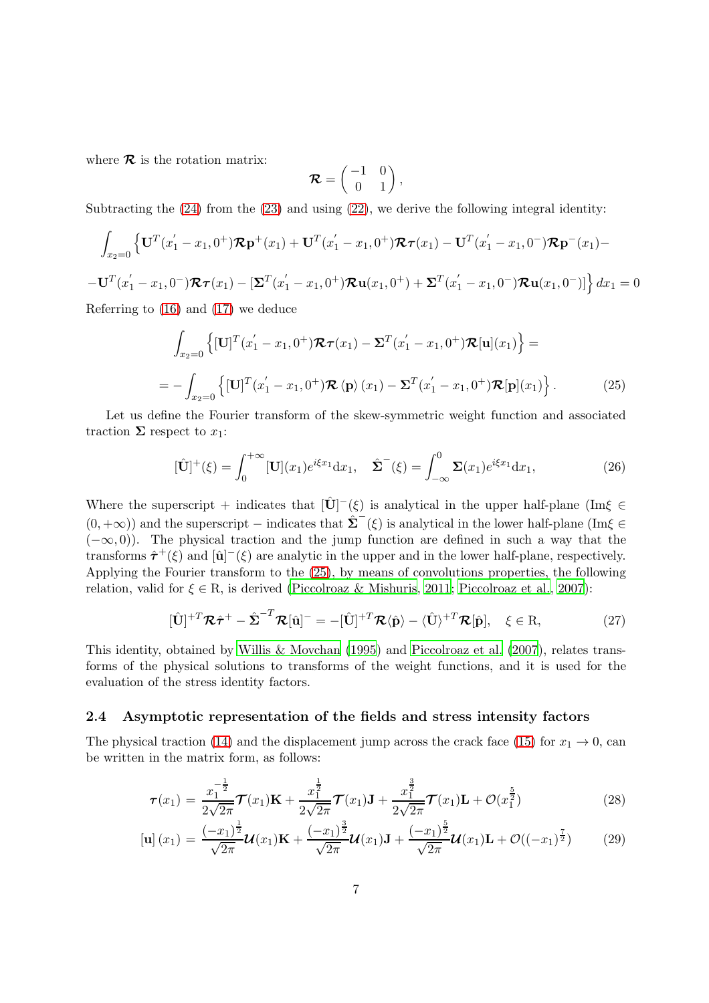where  $\mathcal R$  is the rotation matrix:

$$
\mathcal{R} = \begin{pmatrix} -1 & 0 \\ 0 & 1 \end{pmatrix},
$$

Subtracting the  $(24)$  from the  $(23)$  and using  $(22)$ , we derive the following integral identity:

$$
\int_{x_2=0} \left\{ \mathbf{U}^T (x_1' - x_1, 0^+) \mathcal{R} \mathbf{p}^+(x_1) + \mathbf{U}^T (x_1' - x_1, 0^+) \mathcal{R} \boldsymbol{\tau} (x_1) - \mathbf{U}^T (x_1' - x_1, 0^-) \mathcal{R} \mathbf{p}^-(x_1) - \right.
$$
\n
$$
- \mathbf{U}^T (x_1' - x_1, 0^-) \mathcal{R} \boldsymbol{\tau} (x_1) - \left[ \mathbf{\Sigma}^T (x_1' - x_1, 0^+) \mathcal{R} \mathbf{u} (x_1, 0^+) + \mathbf{\Sigma}^T (x_1' - x_1, 0^-) \mathcal{R} \mathbf{u} (x_1, 0^-) \right] \right\} dx_1 = 0
$$
\nReferring to (16) and (17) we deduce

Referring to [\(16\)](#page-4-4) and [\(17\)](#page-4-4) we deduce

<span id="page-6-1"></span>
$$
\int_{x_2=0} \left\{ [\mathbf{U}]^T (x_1' - x_1, 0^+) \mathcal{R} \tau(x_1) - \Sigma^T (x_1' - x_1, 0^+) \mathcal{R}[\mathbf{u}](x_1) \right\} =
$$
\n
$$
= - \int_{x_2=0} \left\{ [\mathbf{U}]^T (x_1' - x_1, 0^+) \mathcal{R} \langle \mathbf{p} \rangle (x_1) - \Sigma^T (x_1' - x_1, 0^+) \mathcal{R}[\mathbf{p}](x_1) \right\}.
$$
\n(25)

Let us define the Fourier transform of the skew-symmetric weight function and associated traction  $\Sigma$  respect to  $x_1$ :

$$
[\hat{\mathbf{U}}]^+(\xi) = \int_0^{+\infty} [\mathbf{U}](x_1) e^{i\xi x_1} dx_1, \quad \hat{\Sigma}^-(\xi) = \int_{-\infty}^0 \Sigma(x_1) e^{i\xi x_1} dx_1,\tag{26}
$$

Where the superscript + indicates that  $[\hat{U}](\xi)$  is analytical in the upper half-plane (Im $\xi \in$  $(0, +\infty)$ ) and the superscript – indicates that  $\hat{\Sigma}^-(\xi)$  is analytical in the lower half-plane (Im $\xi \in$  $(-\infty, 0)$ ). The physical traction and the jump function are defined in such a way that the transforms  $\hat{\tau}^+(\xi)$  and  $[\hat{\mathbf{u}}]$ <sup>-</sup> $(\xi)$  are analytic in the upper and in the lower half-plane, respectively. Applying the Fourier transform to the [\(25\)](#page-6-1), by means of convolutions properties, the following relation, valid for  $\xi \in \mathbb{R}$ , is derived [\(Piccolroaz & Mishuris](#page-25-5), [2011](#page-25-5); [Piccolroaz et al., 2007](#page-25-6)):

<span id="page-6-3"></span>
$$
[\hat{\mathbf{U}}]^{+T}\mathcal{R}\hat{\boldsymbol{\tau}}^{+} - \hat{\boldsymbol{\Sigma}}^{-T}\mathcal{R}[\hat{\mathbf{u}}]^{-} = -[\hat{\mathbf{U}}]^{+T}\mathcal{R}\langle\hat{\mathbf{p}}\rangle - \langle\hat{\mathbf{U}}\rangle^{+T}\mathcal{R}[\hat{\mathbf{p}}], \quad \xi \in \mathbf{R},
$$
\n(27)

This identity, obtained by [Willis & Movchan \(1995\)](#page-25-2) and [Piccolroaz et al. \(2007](#page-25-6)), relates transforms of the physical solutions to transforms of the weight functions, and it is used for the evaluation of the stress identity factors.

### <span id="page-6-0"></span>2.4 Asymptotic representation of the fields and stress intensity factors

The physical traction [\(14\)](#page-4-3) and the displacement jump across the crack face [\(15\)](#page-4-5) for  $x_1 \to 0$ , can be written in the matrix form, as follows:

<span id="page-6-2"></span>
$$
\boldsymbol{\tau}(x_1) = \frac{x_1^{-\frac{1}{2}}}{2\sqrt{2\pi}} \boldsymbol{\mathcal{T}}(x_1) \mathbf{K} + \frac{x_1^{\frac{1}{2}}}{2\sqrt{2\pi}} \boldsymbol{\mathcal{T}}(x_1) \mathbf{J} + \frac{x_1^{\frac{3}{2}}}{2\sqrt{2\pi}} \boldsymbol{\mathcal{T}}(x_1) \mathbf{L} + \mathcal{O}(x_1^{\frac{5}{2}})
$$
(28)

$$
\left[\mathbf{u}\right](x_1) = \frac{(-x_1)^{\frac{1}{2}}}{\sqrt{2\pi}}\mathbf{U}(x_1)\mathbf{K} + \frac{(-x_1)^{\frac{3}{2}}}{\sqrt{2\pi}}\mathbf{U}(x_1)\mathbf{J} + \frac{(-x_1)^{\frac{5}{2}}}{\sqrt{2\pi}}\mathbf{U}(x_1)\mathbf{L} + \mathcal{O}((-x_1)^{\frac{7}{2}})
$$
(29)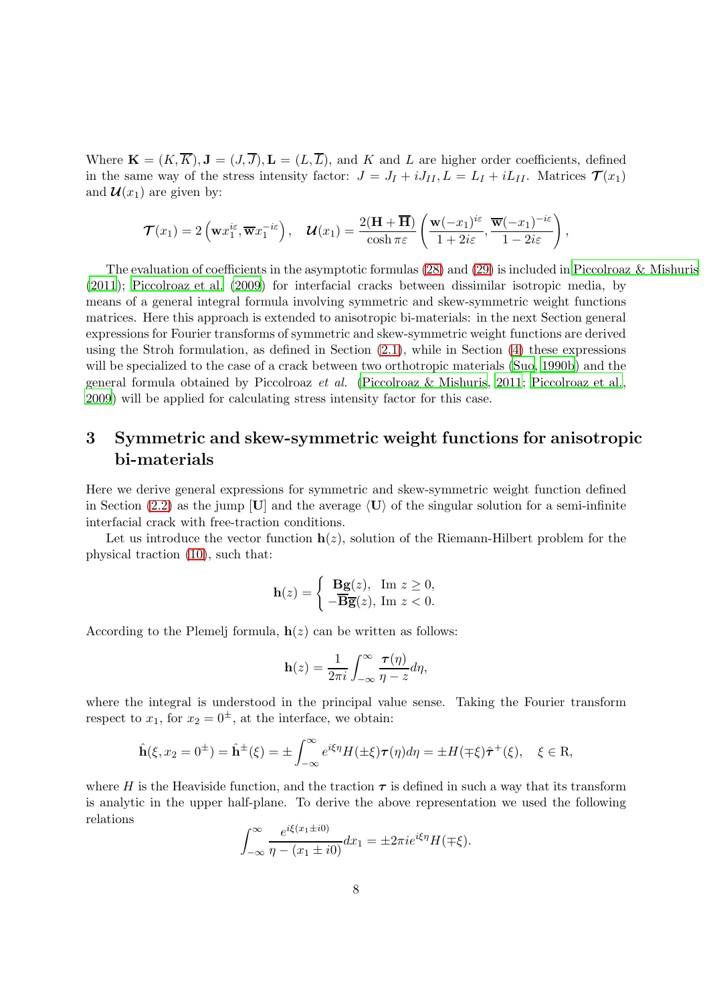Where  $\mathbf{K} = (K, \overline{K}), \mathbf{J} = (J, \overline{J}), \mathbf{L} = (L, \overline{L})$ , and K and L are higher order coefficients, defined in the same way of the stress intensity factor:  $J = J_I + iJ_{II}$ ,  $L = L_I + iL_{II}$ . Matrices  $\mathcal{T}(x_1)$ and  $\mathcal{U}(x_1)$  are given by:

$$
\mathcal{T}(x_1) = 2\left(\mathbf{w}x_1^{i\varepsilon}, \overline{\mathbf{w}}x_1^{-i\varepsilon}\right), \quad \mathcal{U}(x_1) = \frac{2(\mathbf{H} + \overline{\mathbf{H}})}{\cosh \pi \varepsilon} \left(\frac{\mathbf{w}(-x_1)^{i\varepsilon}}{1 + 2i\varepsilon}, \frac{\overline{\mathbf{w}}(-x_1)^{-i\varepsilon}}{1 - 2i\varepsilon}\right),
$$

The evaluation of coefficients in the asymptotic formulas [\(28\)](#page-6-2) and [\(29\)](#page-6-2) is included in [Piccolroaz & Mishuris](#page-25-5) [\(2011](#page-25-5)); [Piccolroaz et al. \(2009](#page-25-0)) for interfacial cracks between dissimilar isotropic media, by means of a general integral formula involving symmetric and skew-symmetric weight functions matrices. Here this approach is extended to anisotropic bi-materials: in the next Section general expressions for Fourier transforms of symmetric and skew-symmetric weight functions are derived using the Stroh formulation, as defined in Section  $(2.1)$ , while in Section  $(4)$  these expressions will be specialized to the case of a crack between two orthotropic materials [\(Suo](#page-25-4), [1990b](#page-25-4)) and the general formula obtained by Piccolroaz *et al.* [\(Piccolroaz & Mishuris, 2011](#page-25-5); [Piccolroaz et al.](#page-25-0), [2009\)](#page-25-0) will be applied for calculating stress intensity factor for this case.

# <span id="page-7-0"></span>3 Symmetric and skew-symmetric weight functions for anisotropic bi-materials

Here we derive general expressions for symmetric and skew-symmetric weight function defined in Section [\(2.2\)](#page-4-0) as the jump [U] and the average  $\langle U \rangle$  of the singular solution for a semi-infinite interfacial crack with free-traction conditions.

Let us introduce the vector function  $h(z)$ , solution of the Riemann-Hilbert problem for the physical traction [\(10\)](#page-3-3), such that:

$$
\mathbf{h}(z) = \begin{cases} \mathbf{B}\mathbf{g}(z), & \text{Im } z \ge 0, \\ -\overline{\mathbf{B}}\overline{\mathbf{g}}(z), & \text{Im } z < 0. \end{cases}
$$

According to the Plemelj formula,  $h(z)$  can be written as follows:

$$
\mathbf{h}(z) = \frac{1}{2\pi i} \int_{-\infty}^{\infty} \frac{\boldsymbol{\tau}(\eta)}{\eta - z} d\eta,
$$

where the integral is understood in the principal value sense. Taking the Fourier transform respect to  $x_1$ , for  $x_2 = 0^{\pm}$ , at the interface, we obtain:

$$
\hat{\mathbf{h}}(\xi, x_2 = 0^{\pm}) = \hat{\mathbf{h}}^{\pm}(\xi) = \pm \int_{-\infty}^{\infty} e^{i\xi\eta} H(\pm \xi) \tau(\eta) d\eta = \pm H(\mp \xi) \hat{\tau}^+(\xi), \quad \xi \in \mathbf{R},
$$

where H is the Heaviside function, and the traction  $\tau$  is defined in such a way that its transform is analytic in the upper half-plane. To derive the above representation we used the following relations

$$
\int_{-\infty}^{\infty} \frac{e^{i\xi(x_1 \pm i0)}}{\eta - (x_1 \pm i0)} dx_1 = \pm 2\pi i e^{i\xi \eta} H(\mp \xi).
$$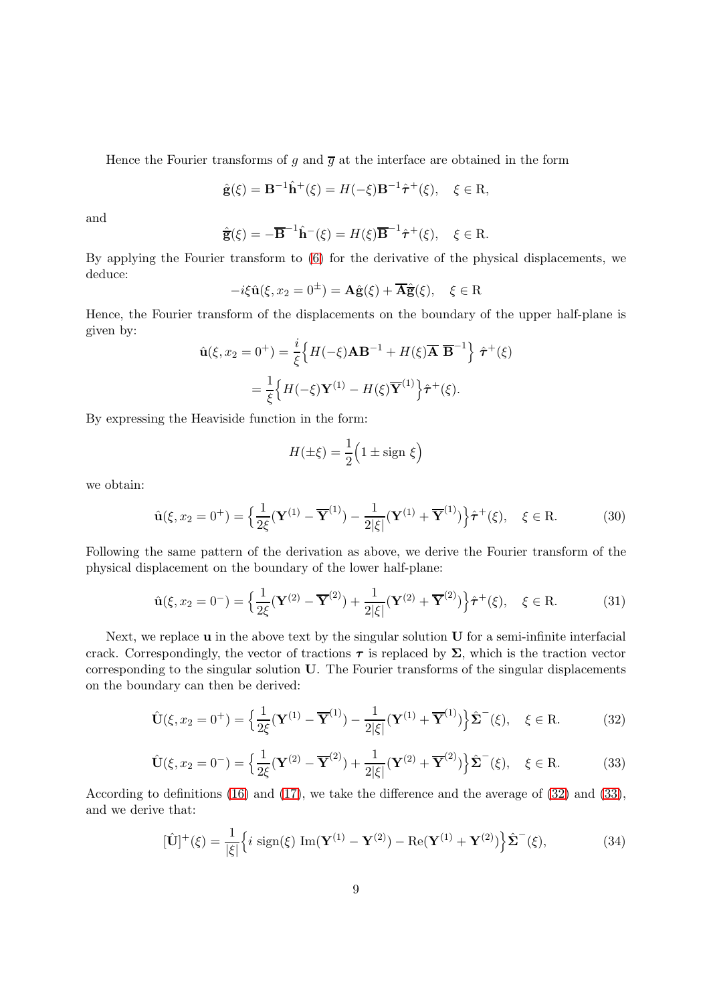Hence the Fourier transforms of g and  $\overline{g}$  at the interface are obtained in the form

$$
\hat{\mathbf{g}}(\xi) = \mathbf{B}^{-1}\hat{\mathbf{h}}^{+}(\xi) = H(-\xi)\mathbf{B}^{-1}\hat{\boldsymbol{\tau}}^{+}(\xi), \quad \xi \in \mathbf{R},
$$

and

$$
\hat{\overline{\mathbf{g}}}(\xi) = -\overline{\mathbf{B}}^{-1}\hat{\mathbf{h}}^{-}(\xi) = H(\xi)\overline{\mathbf{B}}^{-1}\hat{\boldsymbol{\tau}}^{+}(\xi), \quad \xi \in \mathbf{R}.
$$

By applying the Fourier transform to [\(6\)](#page-3-4) for the derivative of the physical displacements, we deduce:

$$
-i\xi \hat{\mathbf{u}}(\xi, x_2 = 0^{\pm}) = \mathbf{A}\hat{\mathbf{g}}(\xi) + \overline{\mathbf{A}}\hat{\overline{\mathbf{g}}}(\xi), \quad \xi \in \mathbf{R}
$$

Hence, the Fourier transform of the displacements on the boundary of the upper half-plane is given by:

$$
\hat{\mathbf{u}}(\xi, x_2 = 0^+) = \frac{i}{\xi} \Big\{ H(-\xi) \mathbf{A} \mathbf{B}^{-1} + H(\xi) \overline{\mathbf{A}} \overline{\mathbf{B}}^{-1} \Big\} \hat{\boldsymbol{\tau}}^+(\xi)
$$

$$
= \frac{1}{\xi} \Big\{ H(-\xi) \mathbf{Y}^{(1)} - H(\xi) \overline{\mathbf{Y}}^{(1)} \Big\} \hat{\boldsymbol{\tau}}^+(\xi).
$$

By expressing the Heaviside function in the form:

$$
H(\pm \xi) = \frac{1}{2} \Big( 1 \pm \text{sign } \xi \Big)
$$

we obtain:

<span id="page-8-3"></span>
$$
\hat{\mathbf{u}}(\xi, x_2 = 0^+) = \left\{ \frac{1}{2\xi} (\mathbf{Y}^{(1)} - \overline{\mathbf{Y}}^{(1)}) - \frac{1}{2|\xi|} (\mathbf{Y}^{(1)} + \overline{\mathbf{Y}}^{(1)}) \right\} \hat{\boldsymbol{\tau}}^+(\xi), \quad \xi \in \mathbf{R}.
$$
 (30)

Following the same pattern of the derivation as above, we derive the Fourier transform of the physical displacement on the boundary of the lower half-plane:

<span id="page-8-4"></span>
$$
\hat{\mathbf{u}}(\xi, x_2 = 0^-) = \left\{ \frac{1}{2\xi} (\mathbf{Y}^{(2)} - \overline{\mathbf{Y}}^{(2)}) + \frac{1}{2|\xi|} (\mathbf{Y}^{(2)} + \overline{\mathbf{Y}}^{(2)}) \right\} \hat{\boldsymbol{\tau}}^+(\xi), \quad \xi \in \mathbf{R}.
$$
 (31)

Next, we replace  $\bf{u}$  in the above text by the singular solution  $\bf{U}$  for a semi-infinite interfacial crack. Correspondingly, the vector of tractions  $\tau$  is replaced by  $\Sigma$ , which is the traction vector corresponding to the singular solution U. The Fourier transforms of the singular displacements on the boundary can then be derived:

<span id="page-8-0"></span>
$$
\hat{\mathbf{U}}(\xi, x_2 = 0^+) = \left\{ \frac{1}{2\xi} (\mathbf{Y}^{(1)} - \overline{\mathbf{Y}}^{(1)}) - \frac{1}{2|\xi|} (\mathbf{Y}^{(1)} + \overline{\mathbf{Y}}^{(1)}) \right\} \hat{\Sigma}^{-}(\xi), \quad \xi \in \mathbf{R}.
$$
 (32)

<span id="page-8-1"></span>
$$
\hat{\mathbf{U}}(\xi, x_2 = 0^-) = \left\{ \frac{1}{2\xi} (\mathbf{Y}^{(2)} - \overline{\mathbf{Y}}^{(2)}) + \frac{1}{2|\xi|} (\mathbf{Y}^{(2)} + \overline{\mathbf{Y}}^{(2)}) \right\} \hat{\Sigma}^{-}(\xi), \quad \xi \in \mathbf{R}.
$$
 (33)

According to definitions [\(16\)](#page-4-4) and [\(17\)](#page-4-4), we take the difference and the average of [\(32\)](#page-8-0) and [\(33\)](#page-8-1), and we derive that:

<span id="page-8-2"></span>
$$
[\hat{\mathbf{U}}]^+(\xi) = \frac{1}{|\xi|} \left\{ i \operatorname{sign}(\xi) \operatorname{Im}(\mathbf{Y}^{(1)} - \mathbf{Y}^{(2)}) - \operatorname{Re}(\mathbf{Y}^{(1)} + \mathbf{Y}^{(2)}) \right\} \hat{\Sigma}^-(\xi),\tag{34}
$$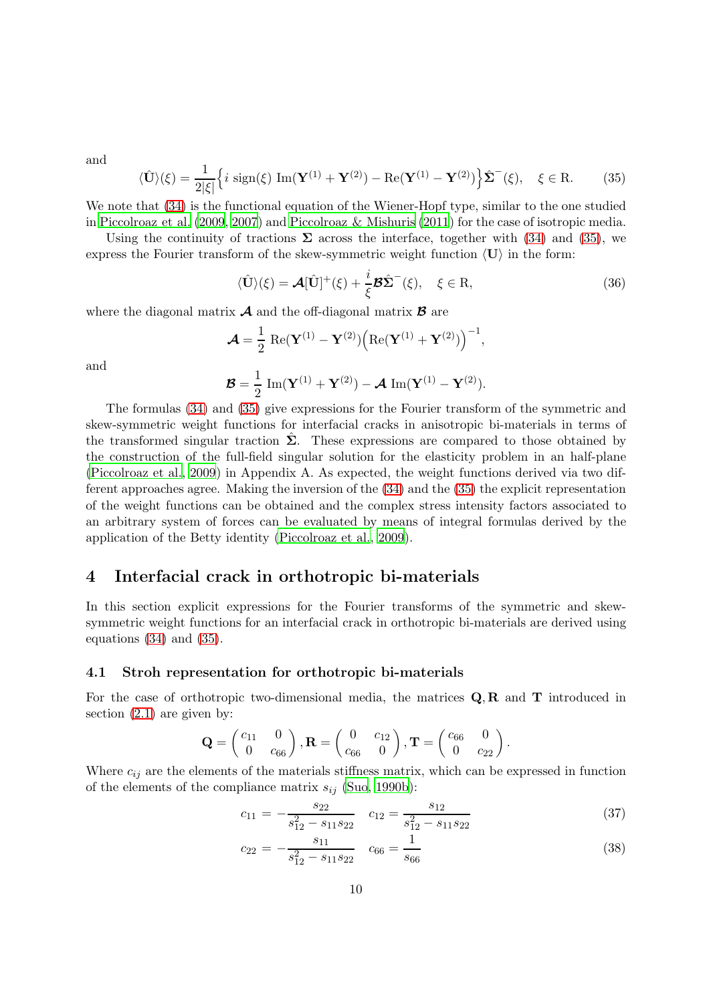and

<span id="page-9-1"></span>
$$
\langle \hat{\mathbf{U}} \rangle(\xi) = \frac{1}{2|\xi|} \left\{ i \operatorname{sign}(\xi) \operatorname{Im}(\mathbf{Y}^{(1)} + \mathbf{Y}^{(2)}) - \operatorname{Re}(\mathbf{Y}^{(1)} - \mathbf{Y}^{(2)}) \right\} \hat{\Sigma}^{-}(\xi), \quad \xi \in \mathbf{R}.
$$
 (35)

We note that [\(34\)](#page-8-2) is the functional equation of the Wiener-Hopf type, similar to the one studied in [Piccolroaz et al. \(2009,](#page-25-0) [2007](#page-25-6)) and [Piccolroaz & Mishuris \(2011](#page-25-5)) for the case of isotropic media.

Using the continuity of tractions  $\Sigma$  across the interface, together with [\(34\)](#page-8-2) and [\(35\)](#page-9-1), we express the Fourier transform of the skew-symmetric weight function  $\langle U \rangle$  in the form:

$$
\langle \hat{\mathbf{U}} \rangle(\xi) = \mathcal{A}[\hat{\mathbf{U}}]^+(\xi) + \frac{i}{\xi} \mathcal{B} \hat{\boldsymbol{\Sigma}}^-(\xi), \quad \xi \in \mathbf{R}, \tag{36}
$$

where the diagonal matrix  $\mathcal A$  and the off-diagonal matrix  $\mathcal B$  are

$$
\mathcal{A} = \frac{1}{2} \operatorname{Re}(\mathbf{Y}^{(1)} - \mathbf{Y}^{(2)}) \Big( \operatorname{Re}(\mathbf{Y}^{(1)} + \mathbf{Y}^{(2)}) \Big)^{-1},
$$

and

$$
\boldsymbol{\mathcal{B}} = \frac{1}{2} \operatorname{Im}(\mathbf{Y}^{(1)} + \mathbf{Y}^{(2)}) - \boldsymbol{\mathcal{A}} \operatorname{Im}(\mathbf{Y}^{(1)} - \mathbf{Y}^{(2)}).
$$

The formulas [\(34\)](#page-8-2) and [\(35\)](#page-9-1) give expressions for the Fourier transform of the symmetric and skew-symmetric weight functions for interfacial cracks in anisotropic bi-materials in terms of the transformed singular traction  $\Sigma$ . These expressions are compared to those obtained by the construction of the full-field singular solution for the elasticity problem in an half-plane [\(Piccolroaz et al., 2009](#page-25-0)) in Appendix A. As expected, the weight functions derived via two different approaches agree. Making the inversion of the [\(34\)](#page-8-2) and the [\(35\)](#page-9-1) the explicit representation of the weight functions can be obtained and the complex stress intensity factors associated to an arbitrary system of forces can be evaluated by means of integral formulas derived by the application of the Betty identity [\(Piccolroaz et al., 2009](#page-25-0)).

## <span id="page-9-0"></span>4 Interfacial crack in orthotropic bi-materials

In this section explicit expressions for the Fourier transforms of the symmetric and skewsymmetric weight functions for an interfacial crack in orthotropic bi-materials are derived using equations [\(34\)](#page-8-2) and [\(35\)](#page-9-1).

#### 4.1 Stroh representation for orthotropic bi-materials

For the case of orthotropic two-dimensional media, the matrices  $Q, R$  and  $T$  introduced in section [\(2.1\)](#page-2-0) are given by:

$$
\mathbf{Q} = \begin{pmatrix} c_{11} & 0 \\ 0 & c_{66} \end{pmatrix}, \mathbf{R} = \begin{pmatrix} 0 & c_{12} \\ c_{66} & 0 \end{pmatrix}, \mathbf{T} = \begin{pmatrix} c_{66} & 0 \\ 0 & c_{22} \end{pmatrix}.
$$

Where  $c_{ij}$  are the elements of the materials stiffness matrix, which can be expressed in function of the elements of the compliance matrix  $s_{ij}$  [\(Suo, 1990b](#page-25-4)):

$$
c_{11} = -\frac{s_{22}}{s_{12}^2 - s_{11}s_{22}} \quad c_{12} = \frac{s_{12}}{s_{12}^2 - s_{11}s_{22}} \tag{37}
$$

$$
c_{22} = -\frac{s_{11}}{s_{12}^2 - s_{11}s_{22}} \quad c_{66} = \frac{1}{s_{66}}
$$
 (38)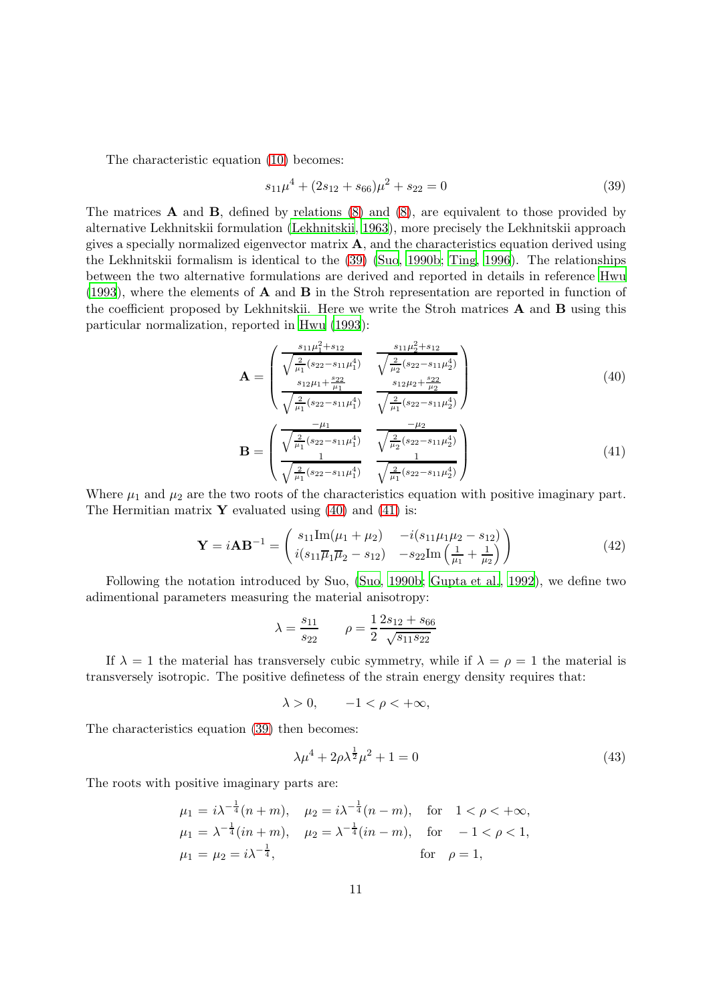The characteristic equation [\(10\)](#page-3-3) becomes:

<span id="page-10-0"></span>
$$
s_{11}\mu^4 + (2s_{12} + s_{66})\mu^2 + s_{22} = 0\tag{39}
$$

The matrices A and B, defined by relations [\(8\)](#page-3-5) and [\(8\)](#page-3-5), are equivalent to those provided by alternative Lekhnitskii formulation [\(Lekhnitskii, 1963\)](#page-24-10), more precisely the Lekhnitskii approach gives a specially normalized eigenvector matrix  $\bf{A}$ , and the characteristics equation derived using the Lekhnitskii formalism is identical to the [\(39\)](#page-10-0) [\(Suo, 1990b;](#page-25-4) [Ting](#page-25-7), [1996](#page-25-7)). The relationships between the two alternative formulations are derived and reported in details in reference [Hwu](#page-24-12) [\(1993](#page-24-12)), where the elements of A and B in the Stroh representation are reported in function of the coefficient proposed by Lekhnitskii. Here we write the Stroh matrices A and B using this particular normalization, reported in [Hwu \(1993](#page-24-12)):

<span id="page-10-1"></span>
$$
\mathbf{A} = \begin{pmatrix} \frac{s_{11}\mu_1^2 + s_{12}}{\sqrt{\frac{2}{\mu_1}(s_{22} - s_{11}\mu_1^4)}} & \frac{s_{11}\mu_2^2 + s_{12}}{\sqrt{\frac{2}{\mu_2}(s_{22} - s_{11}\mu_2^4)}}\\ \frac{s_{12}\mu_1 + \frac{s_{22}}{\mu_1}}{\sqrt{\frac{2}{\mu_1}(s_{22} - s_{11}\mu_1^4)}} & \frac{s_{12}\mu_2 + \frac{s_{22}}{\mu_2}}{\sqrt{\frac{2}{\mu_1}(s_{22} - s_{11}\mu_2^4)}}\\ \frac{-\mu_1}{\sqrt{\frac{2}{\mu_1}(s_{22} - s_{11}\mu_2^4)}} & \frac{-\mu_2}{\sqrt{\mu_2}(s_{22} - s_{12}\mu_2^4)} \end{pmatrix}
$$
(40)

<span id="page-10-2"></span>
$$
\mathbf{B} = \begin{pmatrix} \frac{-\mu_1}{\sqrt{\frac{2}{\mu_1}(s_{22} - s_{11}\mu_1^4)}} & \frac{-\mu_2}{\sqrt{\frac{2}{\mu_2}(s_{22} - s_{11}\mu_2^4)}}\\ \frac{1}{\sqrt{\frac{2}{\mu_1}(s_{22} - s_{11}\mu_1^4)}} & \frac{1}{\sqrt{\frac{2}{\mu_1}(s_{22} - s_{11}\mu_2^4)}} \end{pmatrix}
$$
(41)

Where  $\mu_1$  and  $\mu_2$  are the two roots of the characteristics equation with positive imaginary part. The Hermitian matrix  $\mathbf Y$  evaluated using [\(40\)](#page-10-1) and [\(41\)](#page-10-2) is:

<span id="page-10-3"></span>
$$
\mathbf{Y} = i\mathbf{A}\mathbf{B}^{-1} = \begin{pmatrix} s_{11}\text{Im}(\mu_1 + \mu_2) & -i(s_{11}\mu_1\mu_2 - s_{12}) \\ i(s_{11}\overline{\mu}_1\overline{\mu}_2 - s_{12}) & -s_{22}\text{Im}\left(\frac{1}{\mu_1} + \frac{1}{\mu_2}\right) \end{pmatrix}
$$
(42)

Following the notation introduced by Suo, [\(Suo](#page-25-4), [1990b](#page-25-4); [Gupta et al.](#page-24-13), [1992](#page-24-13)), we define two adimentional parameters measuring the material anisotropy:

$$
\lambda = \frac{s_{11}}{s_{22}} \qquad \rho = \frac{1}{2} \frac{2s_{12} + s_{66}}{\sqrt{s_{11} s_{22}}}
$$

If  $\lambda = 1$  the material has transversely cubic symmetry, while if  $\lambda = \rho = 1$  the material is transversely isotropic. The positive definetess of the strain energy density requires that:

$$
\lambda > 0, \qquad -1 < \rho < +\infty,
$$

The characteristics equation [\(39\)](#page-10-0) then becomes:

$$
\lambda \mu^4 + 2\rho \lambda^{\frac{1}{2}} \mu^2 + 1 = 0 \tag{43}
$$

The roots with positive imaginary parts are:

$$
\mu_1 = i\lambda^{-\frac{1}{4}}(n+m), \quad \mu_2 = i\lambda^{-\frac{1}{4}}(n-m), \quad \text{for} \quad 1 < \rho < +\infty,
$$
  
\n
$$
\mu_1 = \lambda^{-\frac{1}{4}}(in+m), \quad \mu_2 = \lambda^{-\frac{1}{4}}(in-m), \quad \text{for} \quad -1 < \rho < 1,
$$
  
\n
$$
\mu_1 = \mu_2 = i\lambda^{-\frac{1}{4}}, \quad \text{for} \quad \rho = 1,
$$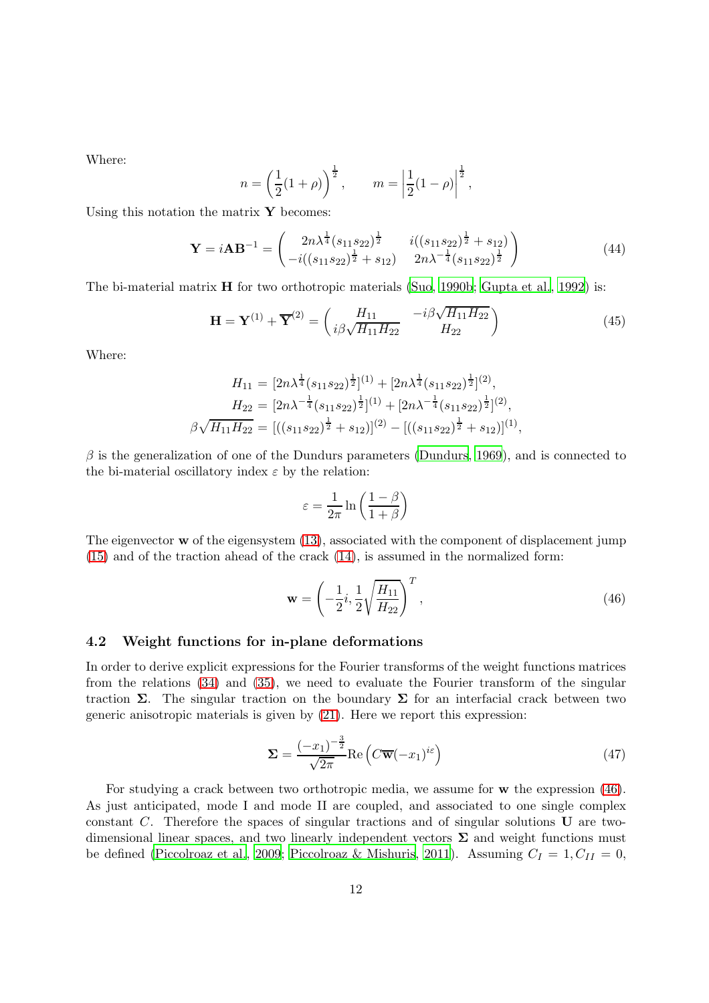Where:

$$
n = \left(\frac{1}{2}(1+\rho)\right)^{\frac{1}{2}}, \qquad m = \left|\frac{1}{2}(1-\rho)\right|^{\frac{1}{2}},
$$

Using this notation the matrix  $\mathbf Y$  becomes:

$$
\mathbf{Y} = i\mathbf{A}\mathbf{B}^{-1} = \begin{pmatrix} 2n\lambda^{\frac{1}{4}}(s_{11}s_{22})^{\frac{1}{2}} & i((s_{11}s_{22})^{\frac{1}{2}} + s_{12}) \\ -i((s_{11}s_{22})^{\frac{1}{2}} + s_{12}) & 2n\lambda^{-\frac{1}{4}}(s_{11}s_{22})^{\frac{1}{2}} \end{pmatrix}
$$
(44)

The bi-material matrix  $\bf{H}$  for two orthotropic materials [\(Suo, 1990b](#page-25-4); [Gupta et al.](#page-24-13), [1992](#page-24-13)) is:

$$
\mathbf{H} = \mathbf{Y}^{(1)} + \overline{\mathbf{Y}}^{(2)} = \begin{pmatrix} H_{11} & -i\beta\sqrt{H_{11}H_{22}} \\ i\beta\sqrt{H_{11}H_{22}} & H_{22} \end{pmatrix}
$$
(45)

Where:

$$
H_{11} = [2n\lambda^{\frac{1}{4}}(s_{11}s_{22})^{\frac{1}{2}}]^{(1)} + [2n\lambda^{\frac{1}{4}}(s_{11}s_{22})^{\frac{1}{2}}]^{(2)},
$$
  
\n
$$
H_{22} = [2n\lambda^{-\frac{1}{4}}(s_{11}s_{22})^{\frac{1}{2}}]^{(1)} + [2n\lambda^{-\frac{1}{4}}(s_{11}s_{22})^{\frac{1}{2}}]^{(2)},
$$
  
\n
$$
\beta\sqrt{H_{11}H_{22}} = [((s_{11}s_{22})^{\frac{1}{2}} + s_{12})]^{(2)} - [((s_{11}s_{22})^{\frac{1}{2}} + s_{12})]^{(1)},
$$

 $\beta$  is the generalization of one of the Dundurs parameters [\(Dundurs](#page-24-14), [1969](#page-24-14)), and is connected to the bi-material oscillatory index  $\varepsilon$  by the relation:

$$
\varepsilon = \frac{1}{2\pi} \ln \left( \frac{1-\beta}{1+\beta} \right)
$$

The eigenvector  $\bf{w}$  of the eigensystem [\(13\)](#page-4-2), associated with the component of displacement jump [\(15\)](#page-4-5) and of the traction ahead of the crack [\(14\)](#page-4-3), is assumed in the normalized form:

<span id="page-11-0"></span>
$$
\mathbf{w} = \left(-\frac{1}{2}i, \frac{1}{2}\sqrt{\frac{H_{11}}{H_{22}}}\right)^T, \tag{46}
$$

### 4.2 Weight functions for in-plane deformations

In order to derive explicit expressions for the Fourier transforms of the weight functions matrices from the relations [\(34\)](#page-8-2) and [\(35\)](#page-9-1), we need to evaluate the Fourier transform of the singular traction Σ. The singular traction on the boundary Σ for an interfacial crack between two generic anisotropic materials is given by [\(21\)](#page-5-2). Here we report this expression:

$$
\Sigma = \frac{(-x_1)^{-\frac{3}{2}}}{\sqrt{2\pi}} \text{Re}\left(C\overline{\mathbf{w}}(-x_1)^{i\varepsilon}\right)
$$
(47)

For studying a crack between two orthotropic media, we assume for w the expression [\(46\)](#page-11-0). As just anticipated, mode I and mode II are coupled, and associated to one single complex constant C. Therefore the spaces of singular tractions and of singular solutions U are twodimensional linear spaces, and two linearly independent vectors  $\Sigma$  and weight functions must be defined [\(Piccolroaz et al., 2009;](#page-25-0) [Piccolroaz & Mishuris, 2011\)](#page-25-5). Assuming  $C_I = 1, C_{II} = 0$ ,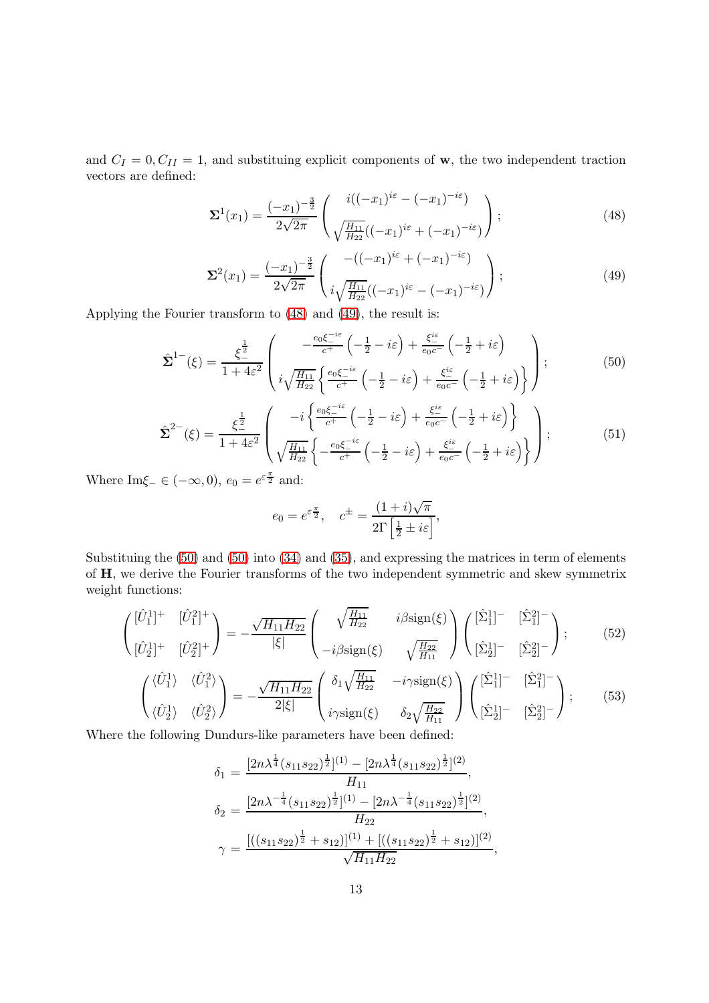and  $C_I = 0, C_{II} = 1$ , and substituing explicit components of w, the two independent traction vectors are defined:

<span id="page-12-0"></span>
$$
\Sigma^{1}(x_{1}) = \frac{(-x_{1})^{-\frac{3}{2}}}{2\sqrt{2\pi}} \left( \frac{i((-x_{1})^{i\varepsilon} - (-x_{1})^{-i\varepsilon})}{\sqrt{\frac{H_{11}}{H_{22}}}((-x_{1})^{i\varepsilon} + (-x_{1})^{-i\varepsilon})} \right);
$$
\n(48)

<span id="page-12-1"></span>
$$
\Sigma^{2}(x_{1}) = \frac{(-x_{1})^{-\frac{3}{2}}}{2\sqrt{2\pi}} \begin{pmatrix} -((-x_{1})^{i\varepsilon} + (-x_{1})^{-i\varepsilon}) \\ i\sqrt{\frac{H_{11}}{H_{22}}}((-x_{1})^{i\varepsilon} - (-x_{1})^{-i\varepsilon}) \end{pmatrix};
$$
\n(49)

Applying the Fourier transform to [\(48\)](#page-12-0) and [\(49\)](#page-12-1), the result is:

<span id="page-12-2"></span>
$$
\hat{\Sigma}^{1-}(\xi) = \frac{\xi^{\frac{1}{2}}}{1 + 4\varepsilon^{2}} \left( \frac{-\frac{e_0 \xi^{-i\varepsilon}}{c^{+}} \left( -\frac{1}{2} - i\varepsilon \right) + \frac{\xi^{i\varepsilon}}{e_0 c^{-}} \left( -\frac{1}{2} + i\varepsilon \right)}{i\sqrt{\frac{H_{11}}{H_{22}}} \left\{ \frac{e_0 \xi^{-i\varepsilon}}{c^{+}} \left( -\frac{1}{2} - i\varepsilon \right) + \frac{\xi^{i\varepsilon}}{e_0 c^{-}} \left( -\frac{1}{2} + i\varepsilon \right) \right\}} \right);
$$
\n(50)

$$
\hat{\Sigma}^{2-}(\xi) = \frac{\xi^{\frac{1}{2}}}{1+4\varepsilon^2} \left( \frac{-i \left\{ \frac{e_0 \xi^{-i\varepsilon}}{c^+} \left( -\frac{1}{2} - i\varepsilon \right) + \frac{\xi^{\text{ic}}}{e_0 c^-} \left( -\frac{1}{2} + i\varepsilon \right) \right\}}{\sqrt{\frac{H_{11}}{H_{22}}} \left\{ -\frac{e_0 \xi^{-i\varepsilon}}{c^+} \left( -\frac{1}{2} - i\varepsilon \right) + \frac{\xi^{\text{ic}}}{e_0 c^-} \left( -\frac{1}{2} + i\varepsilon \right) \right\}} \right);
$$
\n(51)

Where  $\text{Im}\xi_{-} \in (-\infty, 0), e_0 = e^{\varepsilon \frac{\pi}{2}}$  and:

$$
e_0 = e^{\varepsilon \frac{\pi}{2}}, \quad c^{\pm} = \frac{(1+i)\sqrt{\pi}}{2\Gamma\left[\frac{1}{2} \pm i\varepsilon\right]},
$$

Substituing the [\(50\)](#page-12-2) and [\(50\)](#page-12-2) into [\(34\)](#page-8-2) and [\(35\)](#page-9-1), and expressing the matrices in term of elements of H, we derive the Fourier transforms of the two independent symmetric and skew symmetrix weight functions:

<span id="page-12-3"></span>
$$
\begin{pmatrix}\n[\hat{U}_1^1]^+ & [\hat{U}_1^2]^+ \\
[\hat{U}_2^2]^+ & [\hat{U}_2^2]^+\n\end{pmatrix} = -\frac{\sqrt{H_{11}H_{22}}}{|\xi|} \begin{pmatrix}\n\sqrt{\frac{H_{11}}{H_{22}}} & i\beta \text{sign}(\xi) \\
-i\beta \text{sign}(\xi) & \sqrt{\frac{H_{22}}{H_{11}}}\n\end{pmatrix} \begin{pmatrix}\n[\hat{\Sigma}_1^1]^- & [\hat{\Sigma}_1^2]^- \\
[\hat{\Sigma}_2^1]^- & [\hat{\Sigma}_2^2]^-\n\end{pmatrix};\n\tag{52}
$$

<span id="page-12-4"></span>
$$
\begin{pmatrix}\n\langle \hat{U}_1^1 \rangle & \langle \hat{U}_1^2 \rangle \\
\langle \hat{U}_2^1 \rangle & \langle \hat{U}_2^2 \rangle\n\end{pmatrix} = -\frac{\sqrt{H_{11} H_{22}}}{2|\xi|} \begin{pmatrix}\n\delta_1 \sqrt{\frac{H_{11}}{H_{22}}} & -i\gamma \text{sign}(\xi) \\
i\gamma \text{sign}(\xi) & \delta_2 \sqrt{\frac{H_{22}}{H_{11}}}\n\end{pmatrix} \begin{pmatrix}\n[\hat{\Sigma}_1^1]^{-} & [\hat{\Sigma}_1^2]^{-} \\
[\hat{\Sigma}_2^2]^{-} & [\hat{\Sigma}_2^2]^{-}\n\end{pmatrix};\n\tag{53}
$$

Where the following Dundurs-like parameters have been defined:

$$
\delta_1 = \frac{[2n\lambda^{\frac{1}{4}}(s_{11}s_{22})^{\frac{1}{2}}]^{(1)} - [2n\lambda^{\frac{1}{4}}(s_{11}s_{22})^{\frac{1}{2}}]^{(2)}}{H_{11}},
$$
  
\n
$$
\delta_2 = \frac{[2n\lambda^{-\frac{1}{4}}(s_{11}s_{22})^{\frac{1}{2}}]^{(1)} - [2n\lambda^{-\frac{1}{4}}(s_{11}s_{22})^{\frac{1}{2}}]^{(2)}}{H_{22}},
$$
  
\n
$$
\gamma = \frac{[((s_{11}s_{22})^{\frac{1}{2}} + s_{12})]^{(1)} + [((s_{11}s_{22})^{\frac{1}{2}} + s_{12})]^{(2)}}{\sqrt{H_{11}H_{22}}},
$$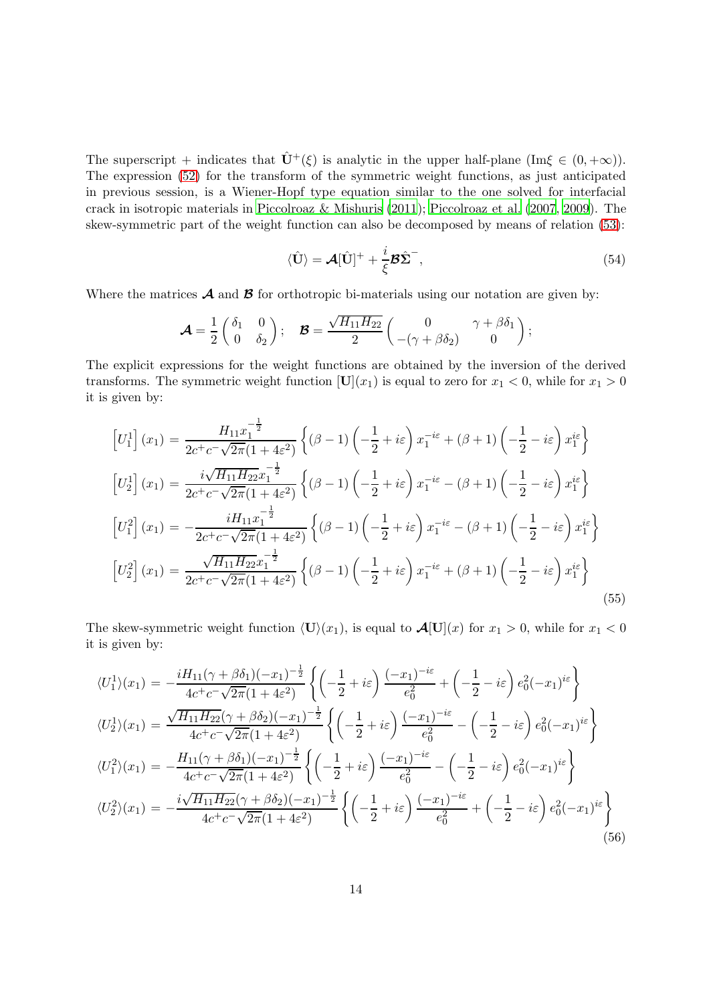The superscript + indicates that  $\hat{\mathbf{U}}^{+}(\xi)$  is analytic in the upper half-plane (Im $\xi \in (0, +\infty)$ ). The expression [\(52\)](#page-12-3) for the transform of the symmetric weight functions, as just anticipated in previous session, is a Wiener-Hopf type equation similar to the one solved for interfacial crack in isotropic materials in [Piccolroaz & Mishuris \(2011](#page-25-5)); [Piccolroaz et al. \(2007](#page-25-6), [2009\)](#page-25-0). The skew-symmetric part of the weight function can also be decomposed by means of relation [\(53\)](#page-12-4):

<span id="page-13-0"></span>
$$
\langle \hat{\mathbf{U}} \rangle = \mathcal{A}[\hat{\mathbf{U}}]^{+} + \frac{i}{\xi} \mathcal{B} \hat{\boldsymbol{\Sigma}}^{-},
$$
\n(54)

Where the matrices  $\mathcal A$  and  $\mathcal B$  for orthotropic bi-materials using our notation are given by:

$$
\mathcal{A} = \frac{1}{2} \begin{pmatrix} \delta_1 & 0 \\ 0 & \delta_2 \end{pmatrix}; \quad \mathcal{B} = \frac{\sqrt{H_{11} H_{22}}}{2} \begin{pmatrix} 0 & \gamma + \beta \delta_1 \\ -(\gamma + \beta \delta_2) & 0 \end{pmatrix};
$$

The explicit expressions for the weight functions are obtained by the inversion of the derived transforms. The symmetric weight function  $[U](x_1)$  is equal to zero for  $x_1 < 0$ , while for  $x_1 > 0$ it is given by:

$$
\begin{aligned}\n\left[U_{1}^{1}\right](x_{1}) &= \frac{H_{11}x_{1}^{-\frac{1}{2}}}{2c^{+}c^{-}\sqrt{2\pi}(1+4\epsilon^{2})} \left\{ (\beta-1)\left(-\frac{1}{2}+i\varepsilon\right)x_{1}^{-i\varepsilon} + (\beta+1)\left(-\frac{1}{2}-i\varepsilon\right)x_{1}^{i\varepsilon} \right\} \\
\left[U_{2}^{1}\right](x_{1}) &= \frac{i\sqrt{H_{11}H_{22}x_{1}^{-\frac{1}{2}}}}{2c^{+}c^{-}\sqrt{2\pi}(1+4\epsilon^{2})} \left\{ (\beta-1)\left(-\frac{1}{2}+i\varepsilon\right)x_{1}^{-i\varepsilon} - (\beta+1)\left(-\frac{1}{2}-i\varepsilon\right)x_{1}^{i\varepsilon} \right\} \\
\left[U_{1}^{2}\right](x_{1}) &= -\frac{iH_{11}x_{1}^{-\frac{1}{2}}}{2c^{+}c^{-}\sqrt{2\pi}(1+4\epsilon^{2})} \left\{ (\beta-1)\left(-\frac{1}{2}+i\varepsilon\right)x_{1}^{-i\varepsilon} - (\beta+1)\left(-\frac{1}{2}-i\varepsilon\right)x_{1}^{i\varepsilon} \right\} \\
\left[U_{2}^{2}\right](x_{1}) &= \frac{\sqrt{H_{11}H_{22}x_{1}^{-\frac{1}{2}}}}{2c^{+}c^{-}\sqrt{2\pi}(1+4\epsilon^{2})} \left\{ (\beta-1)\left(-\frac{1}{2}+i\varepsilon\right)x_{1}^{-i\varepsilon} + (\beta+1)\left(-\frac{1}{2}-i\varepsilon\right)x_{1}^{i\varepsilon} \right\} \\
\end{aligned} \tag{55}
$$

The skew-symmetric weight function  $\langle \mathbf{U} \rangle(x_1)$ , is equal to  $\mathcal{A}[\mathbf{U}](x)$  for  $x_1 > 0$ , while for  $x_1 < 0$ it is given by:

$$
\langle U_1^1 \rangle (x_1) = -\frac{i H_{11} (\gamma + \beta \delta_1)(-x_1)^{-\frac{1}{2}}}{4c^+ c^- \sqrt{2\pi} (1 + 4\varepsilon^2)} \left\{ \left( -\frac{1}{2} + i\varepsilon \right) \frac{(-x_1)^{-i\varepsilon}}{e_0^2} + \left( -\frac{1}{2} - i\varepsilon \right) e_0^2 (-x_1)^{i\varepsilon} \right\}
$$
  
\n
$$
\langle U_2^1 \rangle (x_1) = \frac{\sqrt{H_{11} H_{22}} (\gamma + \beta \delta_2)(-x_1)^{-\frac{1}{2}}}{4c^+ c^- \sqrt{2\pi} (1 + 4\varepsilon^2)} \left\{ \left( -\frac{1}{2} + i\varepsilon \right) \frac{(-x_1)^{-i\varepsilon}}{e_0^2} - \left( -\frac{1}{2} - i\varepsilon \right) e_0^2 (-x_1)^{i\varepsilon} \right\}
$$
  
\n
$$
\langle U_1^2 \rangle (x_1) = -\frac{H_{11} (\gamma + \beta \delta_1)(-x_1)^{-\frac{1}{2}}}{4c^+ c^- \sqrt{2\pi} (1 + 4\varepsilon^2)} \left\{ \left( -\frac{1}{2} + i\varepsilon \right) \frac{(-x_1)^{-i\varepsilon}}{e_0^2} - \left( -\frac{1}{2} - i\varepsilon \right) e_0^2 (-x_1)^{i\varepsilon} \right\}
$$
  
\n
$$
\langle U_2^2 \rangle (x_1) = -\frac{i \sqrt{H_{11} H_{22}} (\gamma + \beta \delta_2)(-x_1)^{-\frac{1}{2}}}{4c^+ c^- \sqrt{2\pi} (1 + 4\varepsilon^2)} \left\{ \left( -\frac{1}{2} + i\varepsilon \right) \frac{(-x_1)^{-i\varepsilon}}{e_0^2} + \left( -\frac{1}{2} - i\varepsilon \right) e_0^2 (-x_1)^{i\varepsilon} \right\}
$$
  
\n(56)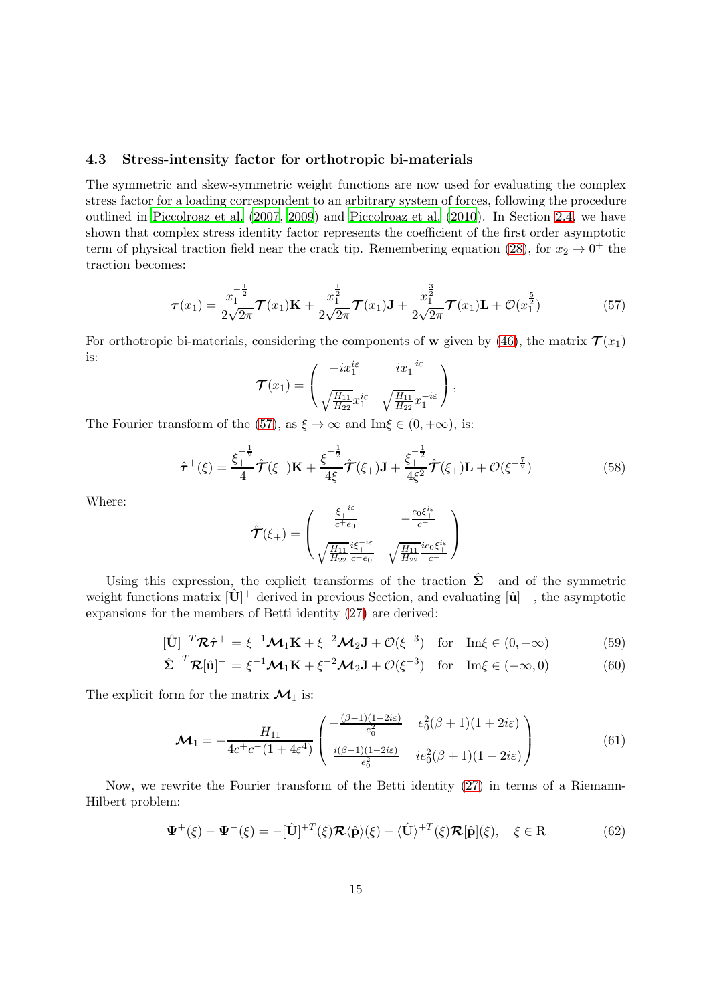### 4.3 Stress-intensity factor for orthotropic bi-materials

The symmetric and skew-symmetric weight functions are now used for evaluating the complex stress factor for a loading correspondent to an arbitrary system of forces, following the procedure outlined in [Piccolroaz et al. \(2007](#page-25-6), [2009](#page-25-0)) and [Piccolroaz et](#page-25-1) al. [\(2010](#page-25-1)). In Section [2.4,](#page-6-0) we have shown that complex stress identity factor represents the coefficient of the first order asymptotic term of physical traction field near the crack tip. Remembering equation [\(28\)](#page-6-2), for  $x_2 \to 0^+$  the traction becomes:

<span id="page-14-0"></span>
$$
\boldsymbol{\tau}(x_1) = \frac{x_1^{-\frac{1}{2}}}{2\sqrt{2\pi}} \boldsymbol{\mathcal{T}}(x_1) \mathbf{K} + \frac{x_1^{\frac{1}{2}}}{2\sqrt{2\pi}} \boldsymbol{\mathcal{T}}(x_1) \mathbf{J} + \frac{x_1^{\frac{3}{2}}}{2\sqrt{2\pi}} \boldsymbol{\mathcal{T}}(x_1) \mathbf{L} + \mathcal{O}(x_1^{\frac{5}{2}})
$$
(57)

For orthotropic bi-materials, considering the components of w given by [\(46\)](#page-11-0), the matrix  $\mathcal{T}(x_1)$ is:

$$
\mathcal{T}(x_1) = \begin{pmatrix} -ix_1^{i\varepsilon} & ix_1^{-i\varepsilon} \\ \sqrt{\frac{H_{11}}{H_{22}}}x_1^{i\varepsilon} & \sqrt{\frac{H_{11}}{H_{22}}}x_1^{-i\varepsilon} \end{pmatrix},
$$

The Fourier transform of the [\(57\)](#page-14-0), as  $\xi \to \infty$  and Im $\xi \in (0, +\infty)$ , is:

$$
\hat{\tau}^{+}(\xi) = \frac{\xi_{+}^{-\frac{1}{2}}}{4}\hat{\mathcal{T}}(\xi_{+})\mathbf{K} + \frac{\xi_{+}^{-\frac{1}{2}}}{4\xi}\hat{\mathcal{T}}(\xi_{+})\mathbf{J} + \frac{\xi_{+}^{-\frac{1}{2}}}{4\xi^{2}}\hat{\mathcal{T}}(\xi_{+})\mathbf{L} + \mathcal{O}(\xi^{-\frac{7}{2}})
$$
(58)

Where:

$$
\hat{\mathcal{T}}(\xi_{+}) = \begin{pmatrix} \frac{\xi_{+}^{-i\varepsilon}}{c^{+}e_{0}} & -\frac{e_{0}\xi_{+}^{i\varepsilon}}{c^{-}}\\ \sqrt{\frac{H_{11}}{H_{22}}}\frac{i\xi_{+}^{-i\varepsilon}}{c^{+}e_{0}} & \sqrt{\frac{H_{11}}{H_{22}}}\frac{i e_{0}\xi_{+}^{i\varepsilon}}{c^{-}} \end{pmatrix}
$$

Using this expression, the explicit transforms of the traction  $\hat{\Sigma}^-$  and of the symmetric weight functions matrix  $[\hat{\mathbf{U}}]^+$  derived in previous Section, and evaluating  $[\hat{\mathbf{u}}]^-$  , the asymptotic expansions for the members of Betti identity [\(27\)](#page-6-3) are derived:

<span id="page-14-2"></span>
$$
[\hat{\mathbf{U}}]^{+T} \mathcal{R} \hat{\boldsymbol{\tau}}^{+} = \xi^{-1} \mathcal{M}_1 \mathbf{K} + \xi^{-2} \mathcal{M}_2 \mathbf{J} + \mathcal{O}(\xi^{-3}) \quad \text{for} \quad \text{Im}\xi \in (0, +\infty)
$$
 (59)

$$
\hat{\Sigma}^{-T} \mathcal{R}[\hat{\mathbf{u}}]^{-} = \xi^{-1} \mathcal{M}_1 \mathbf{K} + \xi^{-2} \mathcal{M}_2 \mathbf{J} + \mathcal{O}(\xi^{-3}) \quad \text{for} \quad \text{Im}\xi \in (-\infty, 0)
$$
 (60)

The explicit form for the matrix  $\mathcal{M}_1$  is:

$$
\mathcal{M}_1 = -\frac{H_{11}}{4c^+c^-(1+4\varepsilon^4)} \begin{pmatrix} -\frac{(\beta-1)(1-2i\varepsilon)}{\varepsilon_0^2} & e_0^2(\beta+1)(1+2i\varepsilon) \\ \frac{i(\beta-1)(1-2i\varepsilon)}{\varepsilon_0^2} & ie_0^2(\beta+1)(1+2i\varepsilon) \end{pmatrix}
$$
(61)

Now, we rewrite the Fourier transform of the Betti identity [\(27\)](#page-6-3) in terms of a Riemann-Hilbert problem:

<span id="page-14-1"></span>
$$
\Psi^{+}(\xi) - \Psi^{-}(\xi) = -[\hat{\mathbf{U}}]^{+T}(\xi)\mathcal{R}\langle\hat{\mathbf{p}}\rangle(\xi) - \langle\hat{\mathbf{U}}\rangle^{+T}(\xi)\mathcal{R}[\hat{\mathbf{p}}](\xi), \quad \xi \in \mathbf{R}
$$
(62)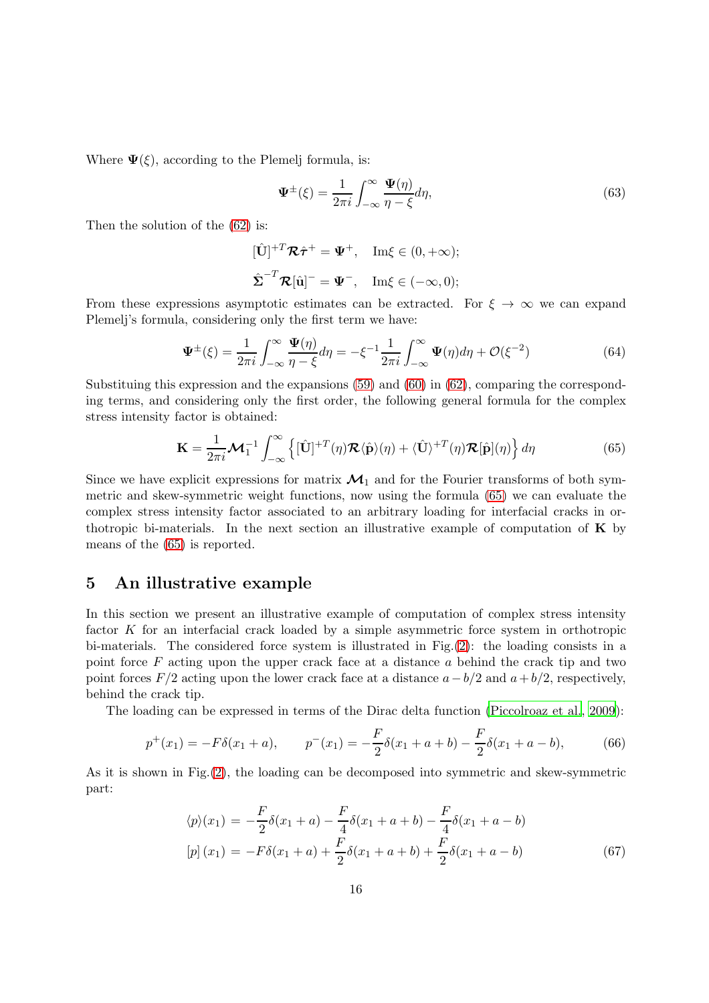Where  $\Psi(\xi)$ , according to the Plemelj formula, is:

$$
\Psi^{\pm}(\xi) = \frac{1}{2\pi i} \int_{-\infty}^{\infty} \frac{\Psi(\eta)}{\eta - \xi} d\eta,
$$
\n(63)

Then the solution of the [\(62\)](#page-14-1) is:

$$
[\hat{\mathbf{U}}]^{+T} \mathcal{R} \hat{\boldsymbol{\tau}}^{+} = \boldsymbol{\Psi}^{+}, \quad \text{Im}\xi \in (0, +\infty);
$$
  

$$
\hat{\boldsymbol{\Sigma}}^{-T} \mathcal{R}[\hat{\mathbf{u}}]^{-} = \boldsymbol{\Psi}^{-}, \quad \text{Im}\xi \in (-\infty, 0);
$$

From these expressions asymptotic estimates can be extracted. For  $\xi \to \infty$  we can expand Plemelj's formula, considering only the first term we have:

$$
\Psi^{\pm}(\xi) = \frac{1}{2\pi i} \int_{-\infty}^{\infty} \frac{\Psi(\eta)}{\eta - \xi} d\eta = -\xi^{-1} \frac{1}{2\pi i} \int_{-\infty}^{\infty} \Psi(\eta) d\eta + \mathcal{O}(\xi^{-2})
$$
(64)

Substituing this expression and the expansions [\(59\)](#page-14-2) and [\(60\)](#page-14-2) in [\(62\)](#page-14-1), comparing the corresponding terms, and considering only the first order, the following general formula for the complex stress intensity factor is obtained:

<span id="page-15-1"></span>
$$
\mathbf{K} = \frac{1}{2\pi i} \mathcal{M}_1^{-1} \int_{-\infty}^{\infty} \left\{ [\hat{\mathbf{U}}]^{+T}(\eta) \mathcal{R} \langle \hat{\mathbf{p}} \rangle(\eta) + \langle \hat{\mathbf{U}} \rangle^{+T}(\eta) \mathcal{R}[\hat{\mathbf{p}}](\eta) \right\} d\eta \tag{65}
$$

Since we have explicit expressions for matrix  $\mathcal{M}_1$  and for the Fourier transforms of both symmetric and skew-symmetric weight functions, now using the formula [\(65\)](#page-15-1) we can evaluate the complex stress intensity factor associated to an arbitrary loading for interfacial cracks in orthotropic bi-materials. In the next section an illustrative example of computation of  $\bf{K}$  by means of the [\(65\)](#page-15-1) is reported.

## <span id="page-15-0"></span>5 An illustrative example

In this section we present an illustrative example of computation of complex stress intensity factor  $K$  for an interfacial crack loaded by a simple asymmetric force system in orthotropic bi-materials. The considered force system is illustrated in Fig.[\(2\)](#page-16-0): the loading consists in a point force  $F$  acting upon the upper crack face at a distance  $a$  behind the crack tip and two point forces  $F/2$  acting upon the lower crack face at a distance  $a-b/2$  and  $a+b/2$ , respectively, behind the crack tip.

The loading can be expressed in terms of the Dirac delta function [\(Piccolroaz et al.](#page-25-0), [2009](#page-25-0)):

$$
p^{+}(x_1) = -F\delta(x_1 + a), \qquad p^{-}(x_1) = -\frac{F}{2}\delta(x_1 + a + b) - \frac{F}{2}\delta(x_1 + a - b), \tag{66}
$$

As it is shown in Fig.[\(2\)](#page-16-0), the loading can be decomposed into symmetric and skew-symmetric part:

$$
\langle p \rangle (x_1) = -\frac{F}{2} \delta(x_1 + a) - \frac{F}{4} \delta(x_1 + a + b) - \frac{F}{4} \delta(x_1 + a - b)
$$
  
\n
$$
[p] (x_1) = -F \delta(x_1 + a) + \frac{F}{2} \delta(x_1 + a + b) + \frac{F}{2} \delta(x_1 + a - b)
$$
\n(67)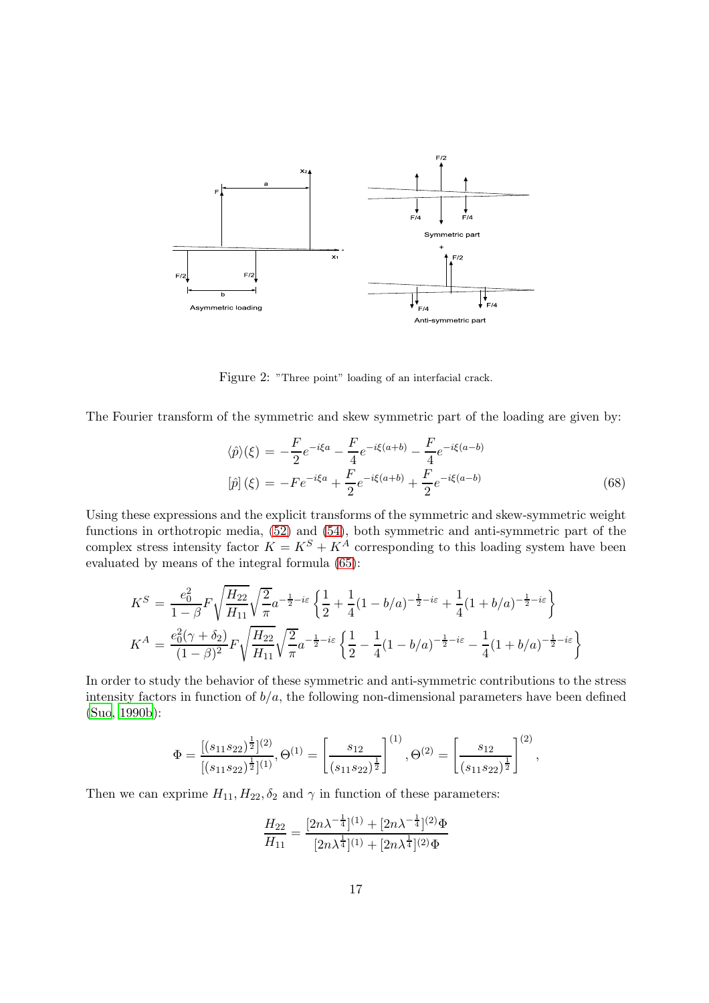

<span id="page-16-0"></span>Figure 2: "Three point" loading of an interfacial crack.

The Fourier transform of the symmetric and skew symmetric part of the loading are given by:

$$
\langle \hat{p} \rangle(\xi) = -\frac{F}{2}e^{-i\xi a} - \frac{F}{4}e^{-i\xi(a+b)} - \frac{F}{4}e^{-i\xi(a-b)} \n[\hat{p}](\xi) = -Fe^{-i\xi a} + \frac{F}{2}e^{-i\xi(a+b)} + \frac{F}{2}e^{-i\xi(a-b)}
$$
\n(68)

Using these expressions and the explicit transforms of the symmetric and skew-symmetric weight functions in orthotropic media, [\(52\)](#page-12-3) and [\(54\)](#page-13-0), both symmetric and anti-symmetric part of the complex stress intensity factor  $K = K^S + K^A$  corresponding to this loading system have been evaluated by means of the integral formula [\(65\)](#page-15-1):

$$
K^{S} = \frac{e_0^2}{1-\beta} F \sqrt{\frac{H_{22}}{H_{11}}} \sqrt{\frac{2}{\pi}} a^{-\frac{1}{2}-i\varepsilon} \left\{ \frac{1}{2} + \frac{1}{4} (1-b/a)^{-\frac{1}{2}-i\varepsilon} + \frac{1}{4} (1+b/a)^{-\frac{1}{2}-i\varepsilon} \right\}
$$
  

$$
K^{A} = \frac{e_0^2 (\gamma + \delta_2)}{(1-\beta)^2} F \sqrt{\frac{H_{22}}{H_{11}}} \sqrt{\frac{2}{\pi}} a^{-\frac{1}{2}-i\varepsilon} \left\{ \frac{1}{2} - \frac{1}{4} (1-b/a)^{-\frac{1}{2}-i\varepsilon} - \frac{1}{4} (1+b/a)^{-\frac{1}{2}-i\varepsilon} \right\}
$$

In order to study the behavior of these symmetric and anti-symmetric contributions to the stress intensity factors in function of  $b/a$ , the following non-dimensional parameters have been defined [\(Suo, 1990b](#page-25-4)):

$$
\Phi = \frac{[(s_{11}s_{22})^{\frac{1}{2}}]^{(2)}}{[(s_{11}s_{22})^{\frac{1}{2}}]^{(1)}}, \Theta^{(1)} = \left[\frac{s_{12}}{(s_{11}s_{22})^{\frac{1}{2}}}\right]^{(1)}, \Theta^{(2)} = \left[\frac{s_{12}}{(s_{11}s_{22})^{\frac{1}{2}}}\right]^{(2)},
$$

Then we can exprime  $H_{11}$ ,  $H_{22}$ ,  $\delta_2$  and  $\gamma$  in function of these parameters:

$$
\frac{H_{22}}{H_{11}} = \frac{[2n\lambda^{-\frac{1}{4}}]^{(1)} + [2n\lambda^{-\frac{1}{4}}]^{(2)}\Phi}{[2n\lambda^{\frac{1}{4}}]^{(1)} + [2n\lambda^{\frac{1}{4}}]^{(2)}\Phi}
$$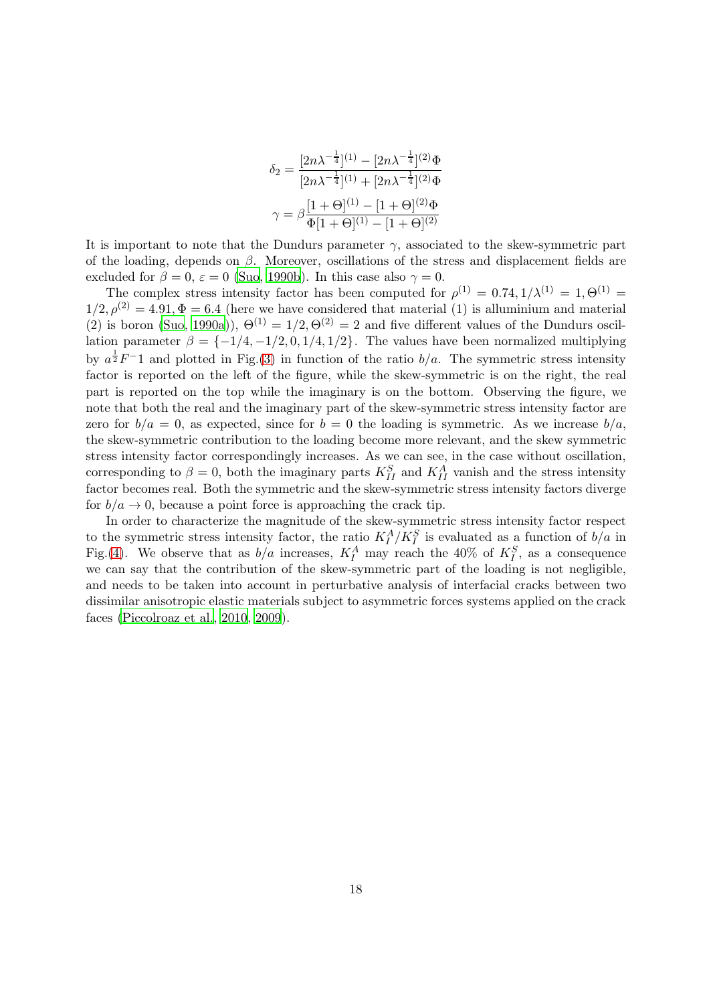$$
\delta_2 = \frac{[2n\lambda^{-\frac{1}{4}}]^{(1)} - [2n\lambda^{-\frac{1}{4}}]^{(2)}\Phi}{[2n\lambda^{-\frac{1}{4}}]^{(1)} + [2n\lambda^{-\frac{1}{4}}]^{(2)}\Phi}
$$

$$
\gamma = \beta \frac{[1+\Theta]^{(1)} - [1+\Theta]^{(2)}\Phi}{\Phi[1+\Theta]^{(1)} - [1+\Theta]^{(2)}}
$$

It is important to note that the Dundurs parameter  $\gamma$ , associated to the skew-symmetric part of the loading, depends on  $\beta$ . Moreover, oscillations of the stress and displacement fields are excluded for  $\beta = 0$ ,  $\varepsilon = 0$  [\(Suo, 1990b](#page-25-4)). In this case also  $\gamma = 0$ .

The complex stress intensity factor has been computed for  $\rho^{(1)} = 0.74, 1/\lambda^{(1)} = 1, \Theta^{(1)} = 1$  $1/2, \rho^{(2)} = 4.91, \Phi = 6.4$  (here we have considered that material (1) is alluminium and material (2) is boron [\(Suo, 1990a\)](#page-25-9)),  $\Theta^{(1)} = 1/2, \Theta^{(2)} = 2$  and five different values of the Dundurs oscillation parameter  $\beta = \{-1/4, -1/2, 0, 1/4, 1/2\}$ . The values have been normalized multiplying by  $a^{\frac{1}{2}}F^{-1}$  and plotted in Fig.[\(3\)](#page-18-0) in function of the ratio  $b/a$ . The symmetric stress intensity factor is reported on the left of the figure, while the skew-symmetric is on the right, the real part is reported on the top while the imaginary is on the bottom. Observing the figure, we note that both the real and the imaginary part of the skew-symmetric stress intensity factor are zero for  $b/a = 0$ , as expected, since for  $b = 0$  the loading is symmetric. As we increase  $b/a$ , the skew-symmetric contribution to the loading become more relevant, and the skew symmetric stress intensity factor correspondingly increases. As we can see, in the case without oscillation, corresponding to  $\beta = 0$ , both the imaginary parts  $K_{II}^S$  and  $K_{II}^A$  vanish and the stress intensity factor becomes real. Both the symmetric and the skew-symmetric stress intensity factors diverge for  $b/a \rightarrow 0$ , because a point force is approaching the crack tip.

In order to characterize the magnitude of the skew-symmetric stress intensity factor respect to the symmetric stress intensity factor, the ratio  $K_I^A/K_I^S$  is evaluated as a function of  $b/a$  in Fig.[\(4\)](#page-19-0). We observe that as  $b/a$  increases,  $K_I^A$  may reach the 40% of  $K_I^S$ , as a consequence we can say that the contribution of the skew-symmetric part of the loading is not negligible, and needs to be taken into account in perturbative analysis of interfacial cracks between two dissimilar anisotropic elastic materials subject to asymmetric forces systems applied on the crack faces [\(Piccolroaz et al.](#page-25-1), [2010](#page-25-1), [2009](#page-25-0)).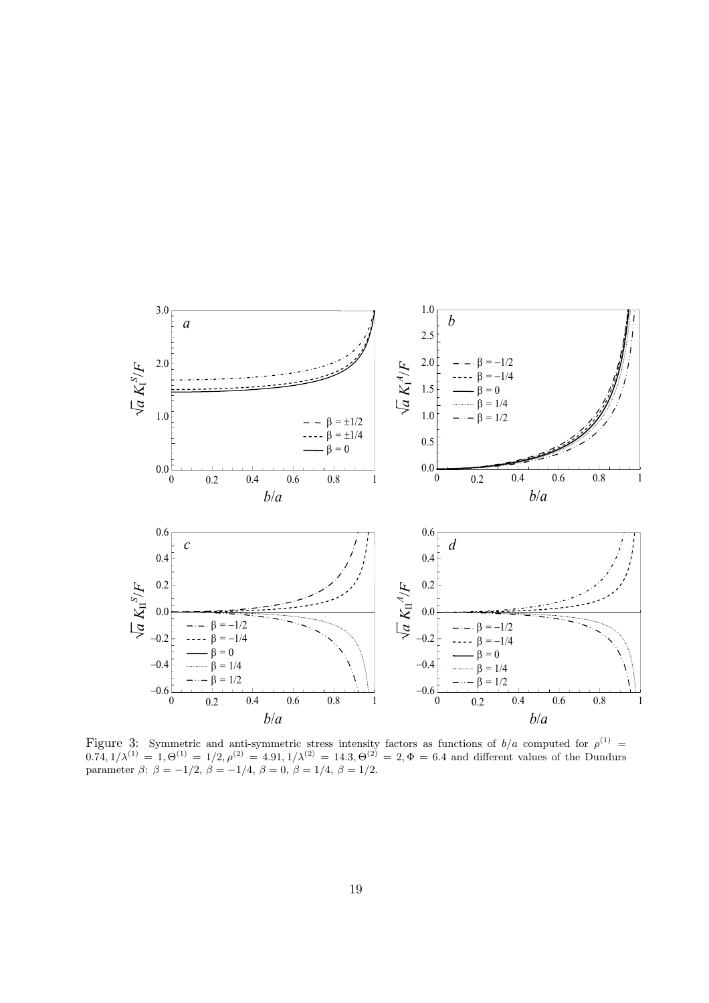

<span id="page-18-0"></span>Figure 3: Symmetric and anti-symmetric stress intensity factors as functions of  $b/a$  computed for  $\rho^{(1)}$  =  $0.74, 1/\lambda^{(1)} = 1, \Theta^{(1)} = 1/2, \rho^{(2)} = 4.91, 1/\lambda^{(2)} = 14.3, \Theta^{(2)} = 2, \Phi = 6.4$  and different values of the Dundurs parameter  $\beta$ :  $\beta = -1/2$ ,  $\beta = -1/4$ ,  $\beta = 0$ ,  $\beta = 1/4$ ,  $\beta = 1/2$ .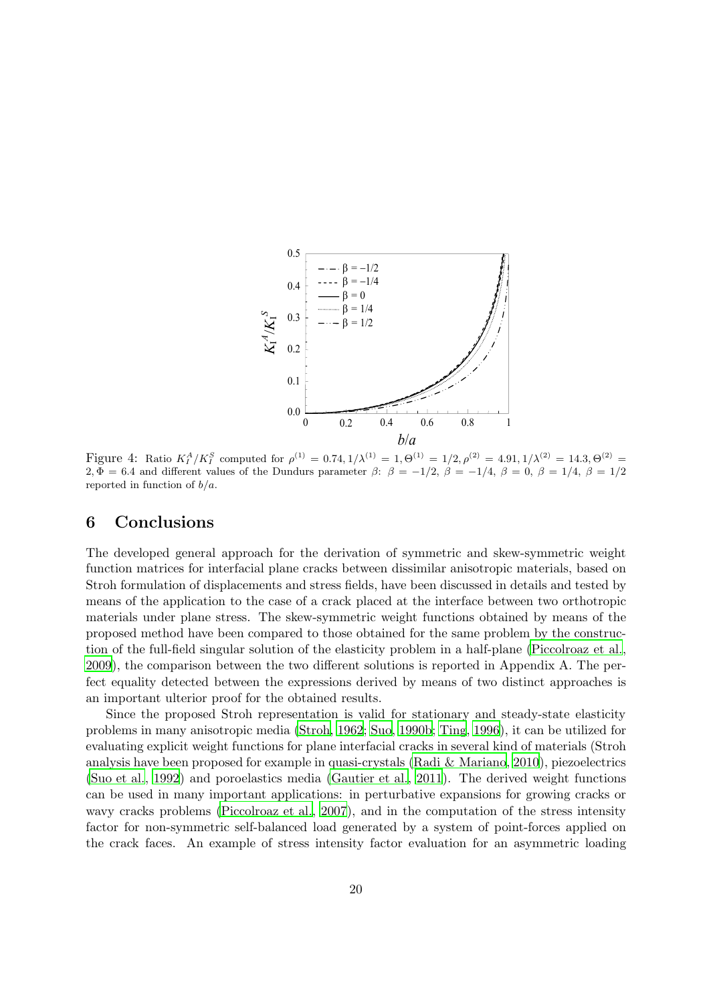

<span id="page-19-0"></span>Figure 4: Ratio  $K_I^A/K_I^S$  computed for  $\rho^{(1)} = 0.74, 1/\lambda^{(1)} = 1, \Theta^{(1)} = 1/2, \rho^{(2)} = 4.91, 1/\lambda^{(2)} = 14.3, \Theta^{(2)} =$ 2,  $\Phi = 6.4$  and different values of the Dundurs parameter  $\beta$ :  $\beta = -1/2$ ,  $\beta = -1/4$ ,  $\beta = 0$ ,  $\beta = 1/4$ ,  $\beta = 1/2$ reported in function of  $b/a$ .

## 6 Conclusions

The developed general approach for the derivation of symmetric and skew-symmetric weight function matrices for interfacial plane cracks between dissimilar anisotropic materials, based on Stroh formulation of displacements and stress fields, have been discussed in details and tested by means of the application to the case of a crack placed at the interface between two orthotropic materials under plane stress. The skew-symmetric weight functions obtained by means of the proposed method have been compared to those obtained for the same problem by the construction of the full-field singular solution of the elasticity problem in a half-plane [\(Piccolroaz et al.](#page-25-0), [2009\)](#page-25-0), the comparison between the two different solutions is reported in Appendix A. The perfect equality detected between the expressions derived by means of two distinct approaches is an important ulterior proof for the obtained results.

Since the proposed Stroh representation is valid for stationary and steady-state elasticity problems in many anisotropic media [\(Stroh, 1962](#page-25-3); [Suo, 1990b;](#page-25-4) [Ting](#page-25-7), [1996](#page-25-7)), it can be utilized for evaluating explicit weight functions for plane interfacial cracks in several kind of materials (Stroh analysis have been proposed for example in quasi-crystals [\(Radi & Mariano](#page-25-10), [2010](#page-25-10)), piezoelectrics [\(Suo et al., 1992](#page-25-8)) and poroelastics media [\(Gautier et al.](#page-24-15), [2011](#page-24-15)). The derived weight functions can be used in many important applications: in perturbative expansions for growing cracks or wavy cracks problems [\(Piccolroaz et al.](#page-25-6), [2007](#page-25-6)), and in the computation of the stress intensity factor for non-symmetric self-balanced load generated by a system of point-forces applied on the crack faces. An example of stress intensity factor evaluation for an asymmetric loading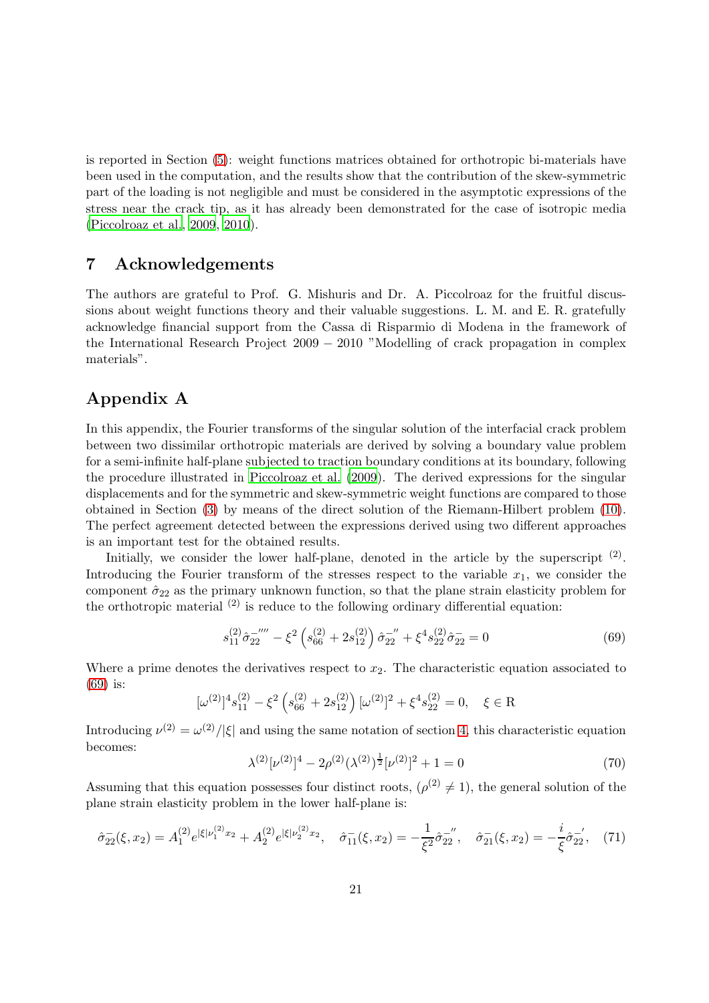is reported in Section [\(5\)](#page-15-0): weight functions matrices obtained for orthotropic bi-materials have been used in the computation, and the results show that the contribution of the skew-symmetric part of the loading is not negligible and must be considered in the asymptotic expressions of the stress near the crack tip, as it has already been demonstrated for the case of isotropic media [\(Piccolroaz et al., 2009](#page-25-0), [2010\)](#page-25-1).

## 7 Acknowledgements

The authors are grateful to Prof. G. Mishuris and Dr. A. Piccolroaz for the fruitful discussions about weight functions theory and their valuable suggestions. L. M. and E. R. gratefully acknowledge financial support from the Cassa di Risparmio di Modena in the framework of the International Research Project 2009 − 2010 "Modelling of crack propagation in complex materials".

# Appendix A

In this appendix, the Fourier transforms of the singular solution of the interfacial crack problem between two dissimilar orthotropic materials are derived by solving a boundary value problem for a semi-infinite half-plane subjected to traction boundary conditions at its boundary, following the procedure illustrated in [Piccolroaz et al. \(2009](#page-25-0)). The derived expressions for the singular displacements and for the symmetric and skew-symmetric weight functions are compared to those obtained in Section [\(3\)](#page-7-0) by means of the direct solution of the Riemann-Hilbert problem [\(10\)](#page-3-3). The perfect agreement detected between the expressions derived using two different approaches is an important test for the obtained results.

Initially, we consider the lower half-plane, denoted in the article by the superscript  $(2)$ . Introducing the Fourier transform of the stresses respect to the variable  $x_1$ , we consider the component  $\hat{\sigma}_{22}$  as the primary unknown function, so that the plane strain elasticity problem for the orthotropic material  $(2)$  is reduce to the following ordinary differential equation:

<span id="page-20-0"></span>
$$
s_{11}^{(2)}\hat{\sigma}_{22}^{-''''} - \xi^2 \left(s_{66}^{(2)} + 2s_{12}^{(2)}\right)\hat{\sigma}_{22}^{-''} + \xi^4 s_{22}^{(2)}\hat{\sigma}_{22}^- = 0\tag{69}
$$

Where a prime denotes the derivatives respect to  $x_2$ . The characteristic equation associated to [\(69\)](#page-20-0) is:

$$
[\omega^{(2)}]^{4} s_{11}^{(2)} - \xi^{2} \left( s_{66}^{(2)} + 2s_{12}^{(2)} \right) [\omega^{(2)}]^{2} + \xi^{4} s_{22}^{(2)} = 0, \quad \xi \in \mathcal{R}
$$

Introducing  $\nu^{(2)} = \omega^{(2)}/|\xi|$  and using the same notation of section [4,](#page-9-0) this characteristic equation becomes:

$$
\lambda^{(2)}[\nu^{(2)}]^4 - 2\rho^{(2)}(\lambda^{(2)})^{\frac{1}{2}}[\nu^{(2)}]^2 + 1 = 0
$$
\n(70)

Assuming that this equation possesses four distinct roots,  $(\rho^{(2)} \neq 1)$ , the general solution of the plane strain elasticity problem in the lower half-plane is:

$$
\hat{\sigma}_{22}^-(\xi, x_2) = A_1^{(2)} e^{|\xi| \nu_1^{(2)} x_2} + A_2^{(2)} e^{|\xi| \nu_2^{(2)} x_2}, \quad \hat{\sigma}_{11}^-(\xi, x_2) = -\frac{1}{\xi^2} \hat{\sigma}_{22}^{-\prime}, \quad \hat{\sigma}_{21}^-(\xi, x_2) = -\frac{i}{\xi} \hat{\sigma}_{22}^{-\prime}, \quad (71)
$$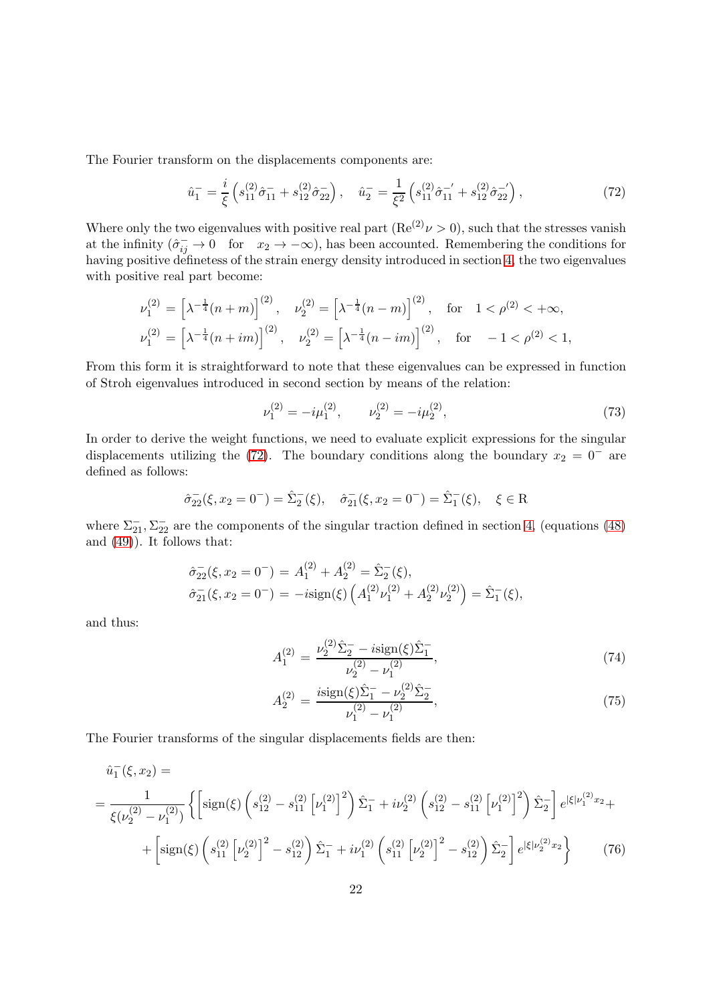The Fourier transform on the displacements components are:

<span id="page-21-0"></span>
$$
\hat{u}_1^- = \frac{i}{\xi} \left( s_{11}^{(2)} \hat{\sigma}_{11}^- + s_{12}^{(2)} \hat{\sigma}_{22}^- \right), \quad \hat{u}_2^- = \frac{1}{\xi^2} \left( s_{11}^{(2)} \hat{\sigma}_{11}^{-'} + s_{12}^{(2)} \hat{\sigma}_{22}^{-'} \right), \tag{72}
$$

Where only the two eigenvalues with positive real part  $(Re^{(2)}\nu > 0)$ , such that the stresses vanish at the infinity  $(\hat{\sigma}_{ij}^- \to 0$  for  $x_2 \to -\infty$ , has been accounted. Remembering the conditions for having positive definetess of the strain energy density introduced in section [4,](#page-9-0) the two eigenvalues with positive real part become:

$$
\nu_1^{(2)} = \left[\lambda^{-\frac{1}{4}}(n+m)\right]^{(2)}, \quad \nu_2^{(2)} = \left[\lambda^{-\frac{1}{4}}(n-m)\right]^{(2)}, \quad \text{for} \quad 1 < \rho^{(2)} < +\infty,
$$
  

$$
\nu_1^{(2)} = \left[\lambda^{-\frac{1}{4}}(n+im)\right]^{(2)}, \quad \nu_2^{(2)} = \left[\lambda^{-\frac{1}{4}}(n-im)\right]^{(2)}, \quad \text{for} \quad -1 < \rho^{(2)} < 1,
$$

From this form it is straightforward to note that these eigenvalues can be expressed in function of Stroh eigenvalues introduced in second section by means of the relation:

<span id="page-21-2"></span>
$$
\nu_1^{(2)} = -i\mu_1^{(2)}, \qquad \nu_2^{(2)} = -i\mu_2^{(2)}, \tag{73}
$$

In order to derive the weight functions, we need to evaluate explicit expressions for the singular displacements utilizing the [\(72\)](#page-21-0). The boundary conditions along the boundary  $x_2 = 0^-$  are defined as follows:

$$
\hat{\sigma}_{22}(\xi, x_2 = 0^-) = \hat{\Sigma}_2^-(\xi), \quad \hat{\sigma}_{21}^-(\xi, x_2 = 0^-) = \hat{\Sigma}_1^-(\xi), \quad \xi \in \mathbb{R}
$$

where  $\Sigma_{21}^-$ ,  $\Sigma_{22}^-$  are the components of the singular traction defined in section [4,](#page-9-0) (equations [\(48\)](#page-12-0) and [\(49\)](#page-12-1)). It follows that:

$$
\hat{\sigma}_{22}^{-}(\xi, x_2 = 0^{-}) = A_1^{(2)} + A_2^{(2)} = \hat{\Sigma}_2^{-}(\xi),
$$
  

$$
\hat{\sigma}_{21}^{-}(\xi, x_2 = 0^{-}) = -i \text{sign}(\xi) \left( A_1^{(2)} \nu_1^{(2)} + A_2^{(2)} \nu_2^{(2)} \right) = \hat{\Sigma}_1^{-}(\xi),
$$

and thus:

$$
A_1^{(2)} = \frac{\nu_2^{(2)} \hat{\Sigma}_2^- - i \text{sign}(\xi) \hat{\Sigma}_1^-}{\nu_2^{(2)} - \nu_1^{(2)}},\tag{74}
$$

$$
A_2^{(2)} = \frac{i \text{sign}(\xi)\hat{\Sigma}_1^- - \nu_2^{(2)}\hat{\Sigma}_2^-}{\nu_1^{(2)} - \nu_1^{(2)}},\tag{75}
$$

The Fourier transforms of the singular displacements fields are then:

<span id="page-21-1"></span>
$$
\hat{u}_1^-(\xi, x_2) =
$$
\n
$$
= \frac{1}{\xi(\nu_2^{(2)} - \nu_1^{(2)})} \left\{ \left[ sign(\xi) \left( s_{12}^{(2)} - s_{11}^{(2)} \left[ \nu_1^{(2)} \right]^2 \right) \hat{\Sigma}_1^- + i\nu_2^{(2)} \left( s_{12}^{(2)} - s_{11}^{(2)} \left[ \nu_1^{(2)} \right]^2 \right) \hat{\Sigma}_2^- \right] e^{i\xi|\nu_1^{(2)}x_2} +
$$
\n
$$
+ \left[ sign(\xi) \left( s_{11}^{(2)} \left[ \nu_2^{(2)} \right]^2 - s_{12}^{(2)} \right) \hat{\Sigma}_1^- + i\nu_1^{(2)} \left( s_{11}^{(2)} \left[ \nu_2^{(2)} \right]^2 - s_{12}^{(2)} \right) \hat{\Sigma}_2^- \right] e^{i\xi|\nu_2^{(2)}x_2} \right\} \tag{76}
$$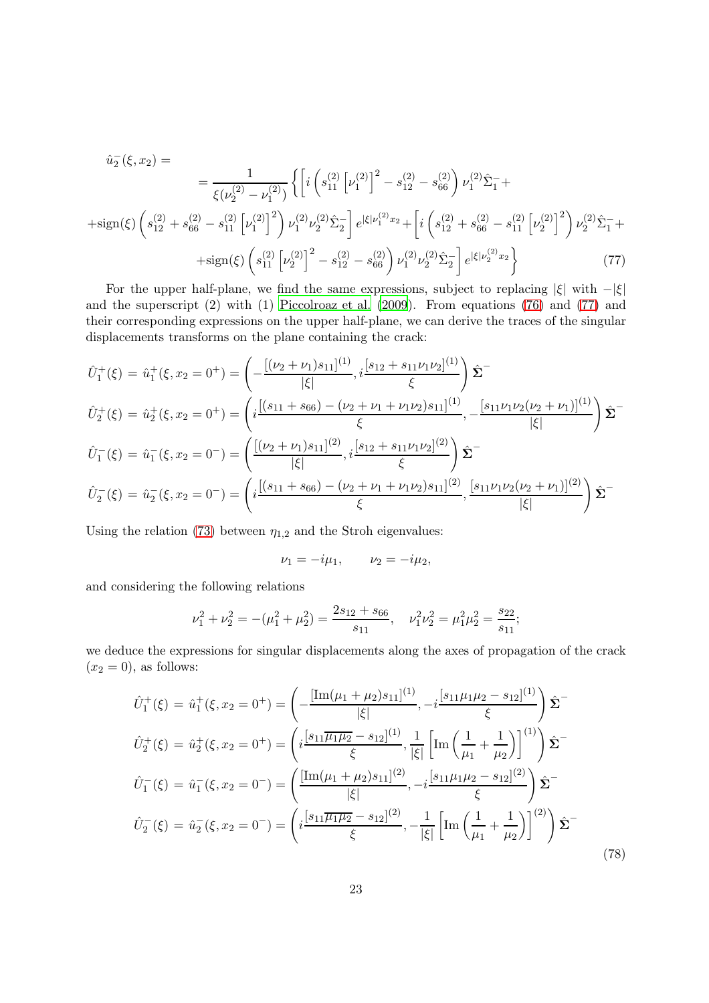$$
\hat{u}_{2}^{-}(\xi, x_{2}) = \frac{1}{\xi(\nu_{2}^{(2)} - \nu_{1}^{(2)})} \left\{ \left[ i \left( s_{11}^{(2)} \left[ \nu_{1}^{(2)} \right]^{2} - s_{12}^{(2)} - s_{66}^{(2)} \right) \nu_{1}^{(2)} \hat{\Sigma}_{1}^{-} + \right. \right. \left. + \text{sign}(\xi) \left( s_{12}^{(2)} + s_{66}^{(2)} - s_{11}^{(2)} \left[ \nu_{1}^{(2)} \right]^{2} \right) \nu_{1}^{(2)} \nu_{2}^{(2)} \hat{\Sigma}_{2}^{-} \right] e^{|\xi| \nu_{1}^{(2)} x_{2}} + \left[ i \left( s_{12}^{(2)} + s_{66}^{(2)} - s_{11}^{(2)} \left[ \nu_{2}^{(2)} \right]^{2} \right) \nu_{2}^{(2)} \hat{\Sigma}_{1}^{-} + \right. \left. + \text{sign}(\xi) \left( s_{11}^{(2)} \left[ \nu_{2}^{(2)} \right]^{2} - s_{12}^{(2)} - s_{66}^{(2)} \right) \nu_{1}^{(2)} \nu_{2}^{(2)} \hat{\Sigma}_{2}^{-} \right] e^{|\xi| \nu_{2}^{(2)} x_{2}} \right\} \tag{77}
$$

<span id="page-22-0"></span>For the upper half-plane, we find the same expressions, subject to replacing  $|\xi|$  with  $-|\xi|$ and the superscript (2) with (1) [Piccolroaz et al. \(2009](#page-25-0)). From equations [\(76\)](#page-21-1) and [\(77\)](#page-22-0) and their corresponding expressions on the upper half-plane, we can derive the traces of the singular displacements transforms on the plane containing the crack:

$$
\hat{U}_{1}^{+}(\xi) = \hat{u}_{1}^{+}(\xi, x_{2} = 0^{+}) = \left(-\frac{[(\nu_{2} + \nu_{1})s_{11}]^{(1)}}{|\xi|}, i\frac{[s_{12} + s_{11}\nu_{1}\nu_{2}]^{(1)}}{\xi}\right)\hat{\Sigma}^{-}
$$
\n
$$
\hat{U}_{2}^{+}(\xi) = \hat{u}_{2}^{+}(\xi, x_{2} = 0^{+}) = \left(i\frac{[(s_{11} + s_{66}) - (\nu_{2} + \nu_{1} + \nu_{1}\nu_{2})s_{11}]^{(1)}}{\xi}, -\frac{[s_{11}\nu_{1}\nu_{2}(\nu_{2} + \nu_{1})]^{(1)}}{|\xi|}\right)\hat{\Sigma}^{-}
$$
\n
$$
\hat{U}_{1}^{-}(\xi) = \hat{u}_{1}^{-}(\xi, x_{2} = 0^{-}) = \left(\frac{[(\nu_{2} + \nu_{1})s_{11}]^{(2)}}{|\xi|}, i\frac{[s_{12} + s_{11}\nu_{1}\nu_{2}]^{(2)}}{\xi}\right)\hat{\Sigma}^{-}
$$
\n
$$
\hat{U}_{2}^{-}(\xi) = \hat{u}_{2}^{-}(\xi, x_{2} = 0^{-}) = \left(i\frac{[(s_{11} + s_{66}) - (\nu_{2} + \nu_{1} + \nu_{1}\nu_{2})s_{11}]^{(2)}}{\xi}, \frac{[s_{11}\nu_{1}\nu_{2}(\nu_{2} + \nu_{1})]^{(2)}}{|\xi|}\right)\hat{\Sigma}^{-}
$$

Using the relation [\(73\)](#page-21-2) between  $\eta_{1,2}$  and the Stroh eigenvalues:

$$
\nu_1 = -i\mu_1, \qquad \nu_2 = -i\mu_2,
$$

and considering the following relations

$$
\nu_1^2 + \nu_2^2 = -(\mu_1^2 + \mu_2^2) = \frac{2s_{12} + s_{66}}{s_{11}}, \quad \nu_1^2 \nu_2^2 = \mu_1^2 \mu_2^2 = \frac{s_{22}}{s_{11}};
$$

we deduce the expressions for singular displacements along the axes of propagation of the crack  $(x_2 = 0)$ , as follows:

$$
\hat{U}_{1}^{+}(\xi) = \hat{u}_{1}^{+}(\xi, x_{2} = 0^{+}) = \left(-\frac{[\text{Im}(\mu_{1} + \mu_{2})s_{11}]^{(1)}}{|\xi|}, -i\frac{[s_{11}\mu_{1}\mu_{2} - s_{12}]^{(1)}}{\xi}\right)\hat{\Sigma}^{-}
$$
\n
$$
\hat{U}_{2}^{+}(\xi) = \hat{u}_{2}^{+}(\xi, x_{2} = 0^{+}) = \left(i\frac{[s_{11}\overline{\mu_{1}\mu_{2}} - s_{12}]^{(1)}}{\xi}, \frac{1}{|\xi|}\left[\text{Im}\left(\frac{1}{\mu_{1}} + \frac{1}{\mu_{2}}\right)\right]^{(1)}\right)\hat{\Sigma}^{-}
$$
\n
$$
\hat{U}_{1}^{-}(\xi) = \hat{u}_{1}^{-}(\xi, x_{2} = 0^{-}) = \left(\frac{[\text{Im}(\mu_{1} + \mu_{2})s_{11}]^{(2)}}{|\xi|}, -i\frac{[s_{11}\mu_{1}\mu_{2} - s_{12}]^{(2)}}{\xi}\right)\hat{\Sigma}^{-}
$$
\n
$$
\hat{U}_{2}^{-}(\xi) = \hat{u}_{2}^{-}(\xi, x_{2} = 0^{-}) = \left(i\frac{[s_{11}\overline{\mu_{1}\mu_{2}} - s_{12}]^{(2)}}{\xi}, -\frac{1}{|\xi|}\left[\text{Im}\left(\frac{1}{\mu_{1}} + \frac{1}{\mu_{2}}\right)\right]^{(2)}\right)\hat{\Sigma}^{-}
$$
\n(78)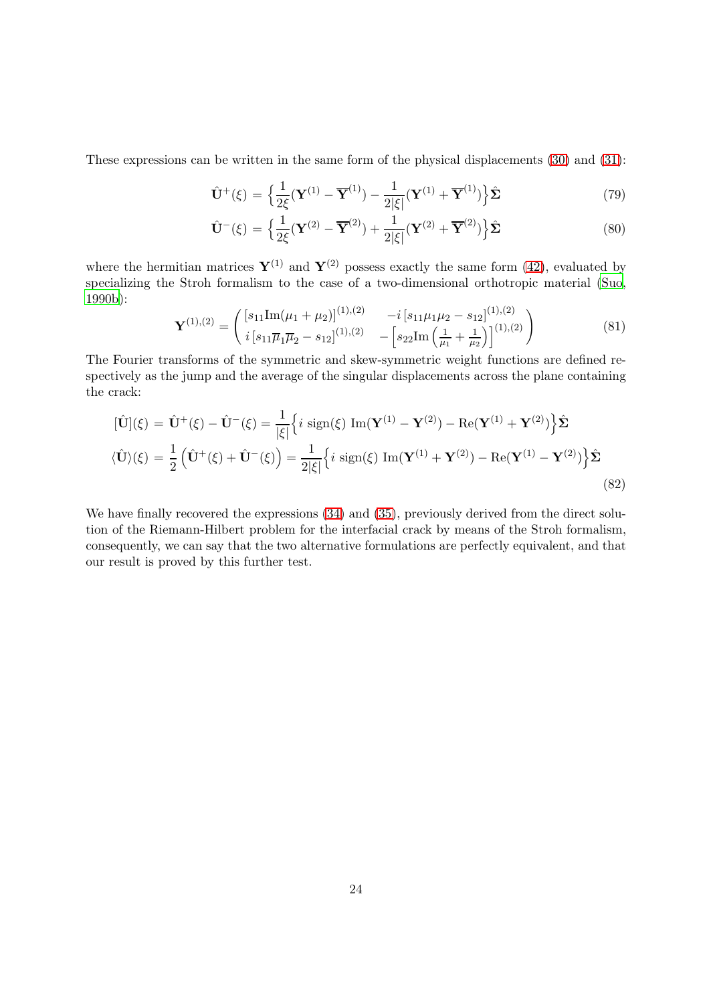These expressions can be written in the same form of the physical displacements [\(30\)](#page-8-3) and [\(31\)](#page-8-4):

$$
\hat{\mathbf{U}}^{+}(\xi) = \left\{ \frac{1}{2\xi} (\mathbf{Y}^{(1)} - \overline{\mathbf{Y}}^{(1)}) - \frac{1}{2|\xi|} (\mathbf{Y}^{(1)} + \overline{\mathbf{Y}}^{(1)}) \right\} \hat{\Sigma}
$$
\n(79)

$$
\hat{\mathbf{U}}^{-}(\xi) = \left\{ \frac{1}{2\xi} (\mathbf{Y}^{(2)} - \overline{\mathbf{Y}}^{(2)}) + \frac{1}{2|\xi|} (\mathbf{Y}^{(2)} + \overline{\mathbf{Y}}^{(2)}) \right\} \hat{\Sigma}
$$
\n(80)

where the hermitian matrices  $\mathbf{Y}^{(1)}$  and  $\mathbf{Y}^{(2)}$  possess exactly the same form [\(42\)](#page-10-3), evaluated by specializing the Stroh formalism to the case of a two-dimensional orthotropic material [\(Suo](#page-25-4), [1990b\)](#page-25-4):

$$
\mathbf{Y}^{(1),(2)} = \begin{pmatrix} [s_{11}\text{Im}(\mu_1 + \mu_2)]^{(1),(2)} & -i [s_{11}\mu_1\mu_2 - s_{12}]^{(1),(2)} \\ i [s_{11}\overline{\mu}_1\overline{\mu}_2 - s_{12}]^{(1),(2)} & -[s_{22}\text{Im}\left(\frac{1}{\mu_1} + \frac{1}{\mu_2}\right)]^{(1),(2)} \end{pmatrix}
$$
(81)

The Fourier transforms of the symmetric and skew-symmetric weight functions are defined respectively as the jump and the average of the singular displacements across the plane containing the crack:

$$
[\hat{\mathbf{U}}](\xi) = \hat{\mathbf{U}}^{+}(\xi) - \hat{\mathbf{U}}^{-}(\xi) = \frac{1}{|\xi|} \left\{ i \operatorname{sign}(\xi) \operatorname{Im}(\mathbf{Y}^{(1)} - \mathbf{Y}^{(2)}) - \operatorname{Re}(\mathbf{Y}^{(1)} + \mathbf{Y}^{(2)}) \right\} \hat{\Sigma}
$$
  

$$
\langle \hat{\mathbf{U}} \rangle(\xi) = \frac{1}{2} \left( \hat{\mathbf{U}}^{+}(\xi) + \hat{\mathbf{U}}^{-}(\xi) \right) = \frac{1}{2|\xi|} \left\{ i \operatorname{sign}(\xi) \operatorname{Im}(\mathbf{Y}^{(1)} + \mathbf{Y}^{(2)}) - \operatorname{Re}(\mathbf{Y}^{(1)} - \mathbf{Y}^{(2)}) \right\} \hat{\Sigma}
$$
\n(82)

We have finally recovered the expressions  $(34)$  and  $(35)$ , previously derived from the direct solution of the Riemann-Hilbert problem for the interfacial crack by means of the Stroh formalism, consequently, we can say that the two alternative formulations are perfectly equivalent, and that our result is proved by this further test.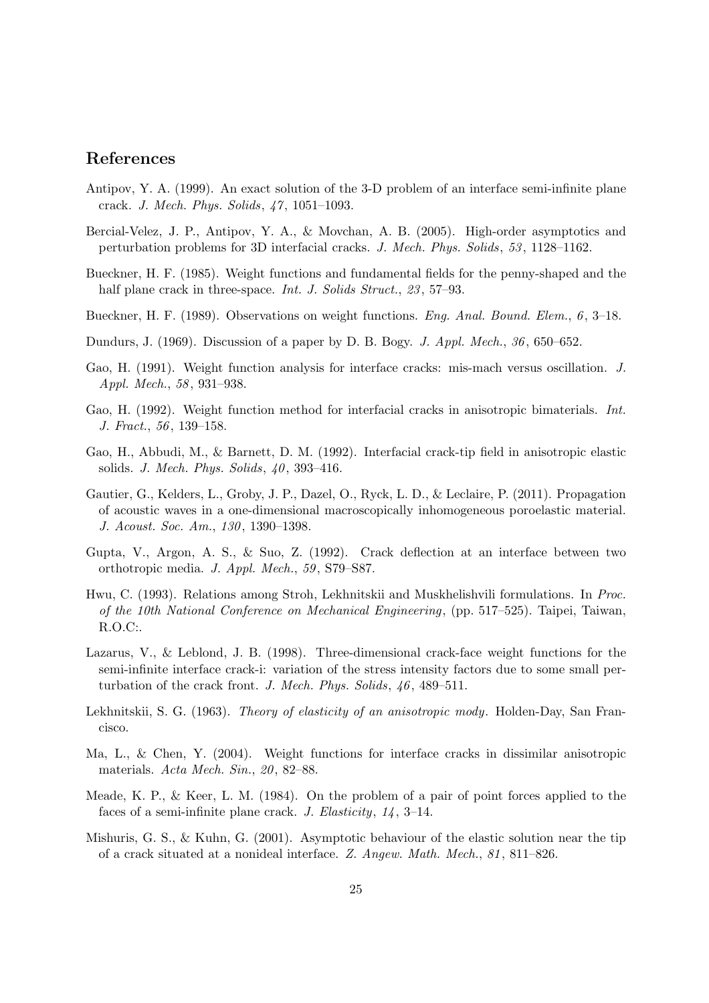## References

- <span id="page-24-6"></span>Antipov, Y. A. (1999). An exact solution of the 3-D problem of an interface semi-infinite plane crack. *J. Mech. Phys. Solids*, *47*, 1051–1093.
- <span id="page-24-0"></span>Bercial-Velez, J. P., Antipov, Y. A., & Movchan, A. B. (2005). High-order asymptotics and perturbation problems for 3D interfacial cracks. *J. Mech. Phys. Solids*, *53*, 1128–1162.
- <span id="page-24-2"></span>Bueckner, H. F. (1985). Weight functions and fundamental fields for the penny-shaped and the half plane crack in three-space. *Int. J. Solids Struct.*, *23*, 57–93.
- <span id="page-24-3"></span>Bueckner, H. F. (1989). Observations on weight functions. *Eng. Anal. Bound. Elem.*, *6*, 3–18.
- <span id="page-24-14"></span>Dundurs, J. (1969). Discussion of a paper by D. B. Bogy. *J. Appl. Mech.*, *36*, 650–652.
- <span id="page-24-7"></span>Gao, H. (1991). Weight function analysis for interface cracks: mis-mach versus oscillation. *J. Appl. Mech.*, *58*, 931–938.
- <span id="page-24-8"></span>Gao, H. (1992). Weight function method for interfacial cracks in anisotropic bimaterials. *Int. J. Fract.*, *56*, 139–158.
- <span id="page-24-11"></span>Gao, H., Abbudi, M., & Barnett, D. M. (1992). Interfacial crack-tip field in anisotropic elastic solids. *J. Mech. Phys. Solids*, *40*, 393–416.
- <span id="page-24-15"></span>Gautier, G., Kelders, L., Groby, J. P., Dazel, O., Ryck, L. D., & Leclaire, P. (2011). Propagation of acoustic waves in a one-dimensional macroscopically inhomogeneous poroelastic material. *J. Acoust. Soc. Am.*, *130*, 1390–1398.
- <span id="page-24-13"></span>Gupta, V., Argon, A. S., & Suo, Z. (1992). Crack deflection at an interface between two orthotropic media. *J. Appl. Mech.*, *59*, S79–S87.
- <span id="page-24-12"></span>Hwu, C. (1993). Relations among Stroh, Lekhnitskii and Muskhelishvili formulations. In *Proc. of the 10th National Conference on Mechanical Engineering*, (pp. 517–525). Taipei, Taiwan, R.O.C:.
- <span id="page-24-5"></span>Lazarus, V., & Leblond, J. B. (1998). Three-dimensional crack-face weight functions for the semi-infinite interface crack-i: variation of the stress intensity factors due to some small perturbation of the crack front. *J. Mech. Phys. Solids*, *46*, 489–511.
- <span id="page-24-10"></span>Lekhnitskii, S. G. (1963). *Theory of elasticity of an anisotropic mody*. Holden-Day, San Francisco.
- <span id="page-24-9"></span>Ma, L., & Chen, Y. (2004). Weight functions for interface cracks in dissimilar anisotropic materials. *Acta Mech. Sin.*, *20*, 82–88.
- <span id="page-24-4"></span>Meade, K. P., & Keer, L. M. (1984). On the problem of a pair of point forces applied to the faces of a semi-infinite plane crack. *J. Elasticity*, *14*, 3–14.
- <span id="page-24-1"></span>Mishuris, G. S., & Kuhn, G. (2001). Asymptotic behaviour of the elastic solution near the tip of a crack situated at a nonideal interface. *Z. Angew. Math. Mech.*, *81*, 811–826.